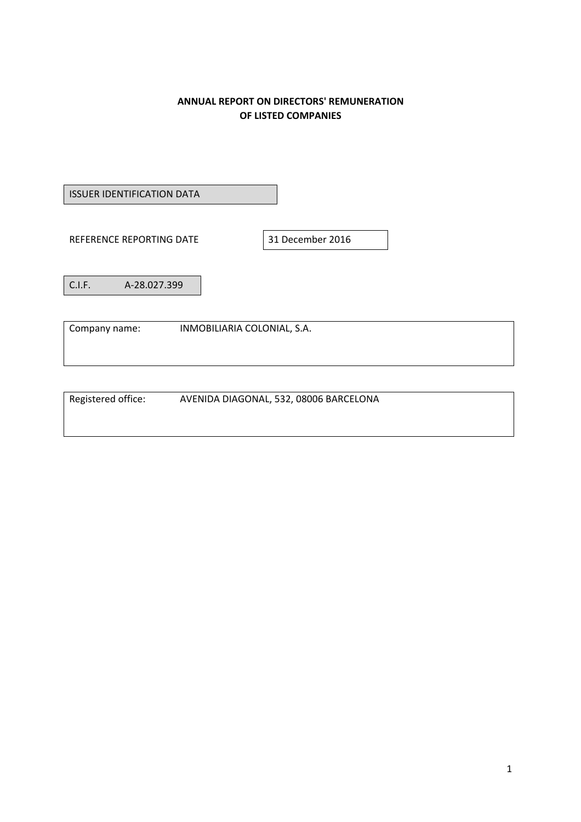# **ANNUAL REPORT ON DIRECTORS' REMUNERATION OF LISTED COMPANIES**

ISSUER IDENTIFICATION DATA

REFERENCE REPORTING DATE 31 December 2016

C.I.F. A‐28.027.399

Company name: INMOBILIARIA COLONIAL, S.A.

Registered office: AVENIDA DIAGONAL, 532, 08006 BARCELONA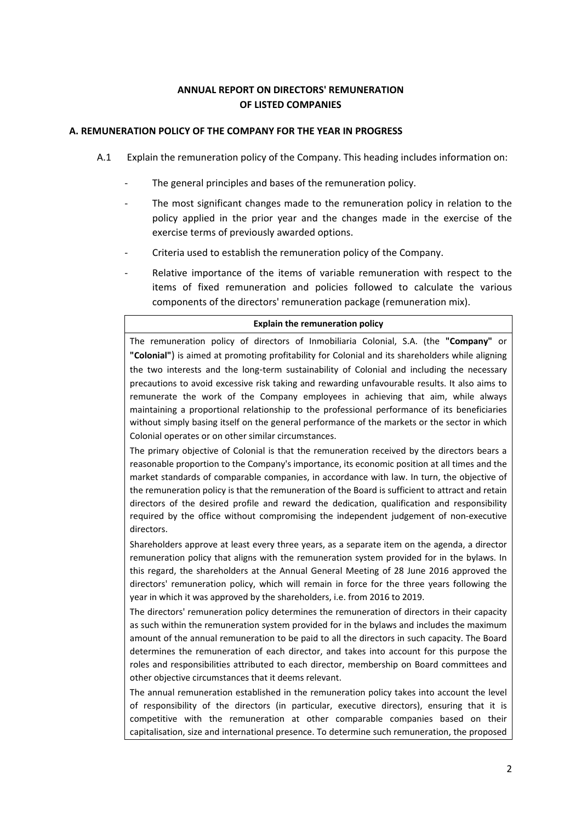# **ANNUAL REPORT ON DIRECTORS' REMUNERATION OF LISTED COMPANIES**

# **A. REMUNERATION POLICY OF THE COMPANY FOR THE YEAR IN PROGRESS**

- A.1 Explain the remuneration policy of the Company. This heading includes information on:
	- The general principles and bases of the remuneration policy.
	- The most significant changes made to the remuneration policy in relation to the policy applied in the prior year and the changes made in the exercise of the exercise terms of previously awarded options.
	- ‐ Criteria used to establish the remuneration policy of the Company.
	- Relative importance of the items of variable remuneration with respect to the items of fixed remuneration and policies followed to calculate the various components of the directors' remuneration package (remuneration mix).

#### **Explain the remuneration policy**

The remuneration policy of directors of Inmobiliaria Colonial, S.A. (the **"Company"** or **"Colonial"**) is aimed at promoting profitability for Colonial and its shareholders while aligning the two interests and the long‐term sustainability of Colonial and including the necessary precautions to avoid excessive risk taking and rewarding unfavourable results. It also aims to remunerate the work of the Company employees in achieving that aim, while always maintaining a proportional relationship to the professional performance of its beneficiaries without simply basing itself on the general performance of the markets or the sector in which Colonial operates or on other similar circumstances.

The primary objective of Colonial is that the remuneration received by the directors bears a reasonable proportion to the Company's importance, its economic position at all times and the market standards of comparable companies, in accordance with law. In turn, the objective of the remuneration policy is that the remuneration of the Board is sufficient to attract and retain directors of the desired profile and reward the dedication, qualification and responsibility required by the office without compromising the independent judgement of non‐executive directors.

Shareholders approve at least every three years, as a separate item on the agenda, a director remuneration policy that aligns with the remuneration system provided for in the bylaws. In this regard, the shareholders at the Annual General Meeting of 28 June 2016 approved the directors' remuneration policy, which will remain in force for the three years following the year in which it was approved by the shareholders, i.e. from 2016 to 2019.

The directors' remuneration policy determines the remuneration of directors in their capacity as such within the remuneration system provided for in the bylaws and includes the maximum amount of the annual remuneration to be paid to all the directors in such capacity. The Board determines the remuneration of each director, and takes into account for this purpose the roles and responsibilities attributed to each director, membership on Board committees and other objective circumstances that it deems relevant.

The annual remuneration established in the remuneration policy takes into account the level of responsibility of the directors (in particular, executive directors), ensuring that it is competitive with the remuneration at other comparable companies based on their capitalisation, size and international presence. To determine such remuneration, the proposed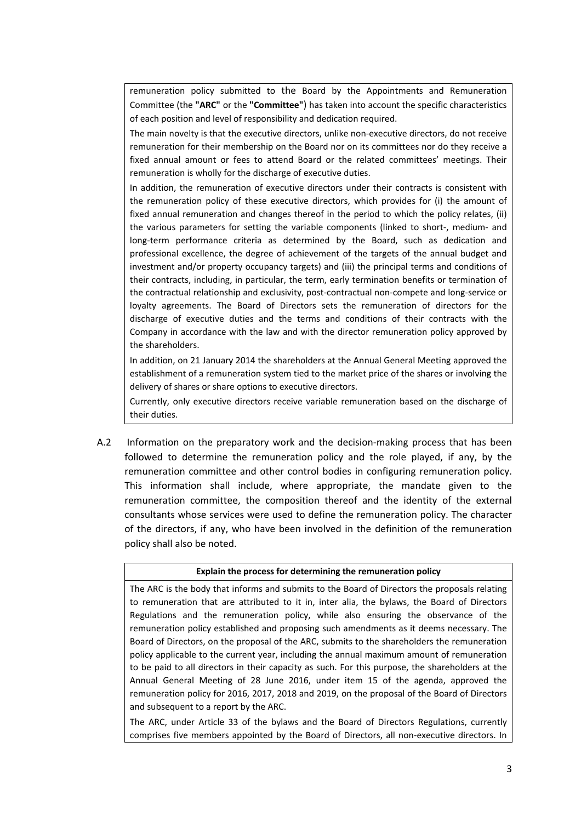remuneration policy submitted to the Board by the Appointments and Remuneration Committee (the **"ARC"** or the **"Committee"**) has taken into account the specific characteristics of each position and level of responsibility and dedication required.

The main novelty is that the executive directors, unlike non‐executive directors, do not receive remuneration for their membership on the Board nor on its committees nor do they receive a fixed annual amount or fees to attend Board or the related committees' meetings. Their remuneration is wholly for the discharge of executive duties.

In addition, the remuneration of executive directors under their contracts is consistent with the remuneration policy of these executive directors, which provides for (i) the amount of fixed annual remuneration and changes thereof in the period to which the policy relates, (ii) the various parameters for setting the variable components (linked to short‐, medium‐ and long‐term performance criteria as determined by the Board, such as dedication and professional excellence, the degree of achievement of the targets of the annual budget and investment and/or property occupancy targets) and (iii) the principal terms and conditions of their contracts, including, in particular, the term, early termination benefits or termination of the contractual relationship and exclusivity, post-contractual non-compete and long-service or loyalty agreements. The Board of Directors sets the remuneration of directors for the discharge of executive duties and the terms and conditions of their contracts with the Company in accordance with the law and with the director remuneration policy approved by the shareholders.

In addition, on 21 January 2014 the shareholders at the Annual General Meeting approved the establishment of a remuneration system tied to the market price of the shares or involving the delivery of shares or share options to executive directors.

Currently, only executive directors receive variable remuneration based on the discharge of their duties.

A.2 Information on the preparatory work and the decision-making process that has been followed to determine the remuneration policy and the role played, if any, by the remuneration committee and other control bodies in configuring remuneration policy. This information shall include, where appropriate, the mandate given to the remuneration committee, the composition thereof and the identity of the external consultants whose services were used to define the remuneration policy. The character of the directors, if any, who have been involved in the definition of the remuneration policy shall also be noted.

### **Explain the process for determining the remuneration policy**

The ARC is the body that informs and submits to the Board of Directors the proposals relating to remuneration that are attributed to it in, inter alia, the bylaws, the Board of Directors Regulations and the remuneration policy, while also ensuring the observance of the remuneration policy established and proposing such amendments as it deems necessary. The Board of Directors, on the proposal of the ARC, submits to the shareholders the remuneration policy applicable to the current year, including the annual maximum amount of remuneration to be paid to all directors in their capacity as such. For this purpose, the shareholders at the Annual General Meeting of 28 June 2016, under item 15 of the agenda, approved the remuneration policy for 2016, 2017, 2018 and 2019, on the proposal of the Board of Directors and subsequent to a report by the ARC.

The ARC, under Article 33 of the bylaws and the Board of Directors Regulations, currently comprises five members appointed by the Board of Directors, all non-executive directors. In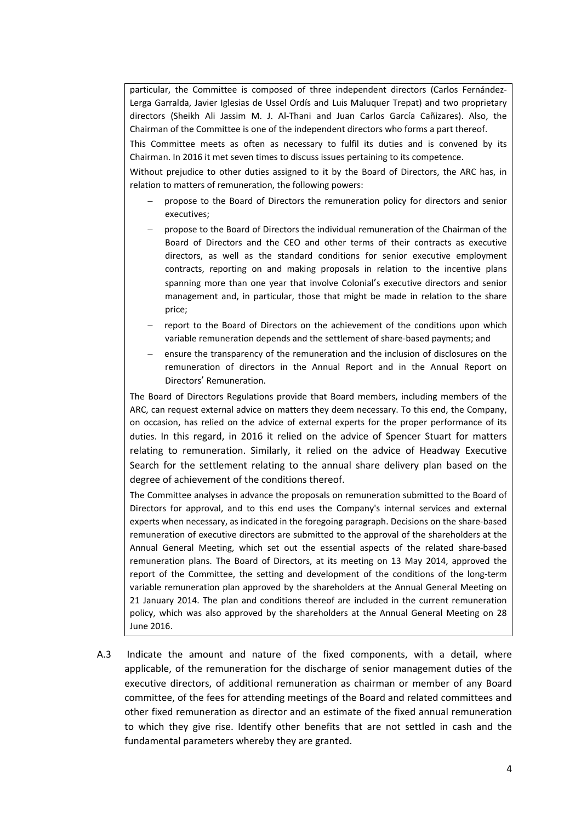particular, the Committee is composed of three independent directors (Carlos Fernández-Lerga Garralda, Javier Iglesias de Ussel Ordís and Luis Maluquer Trepat) and two proprietary directors (Sheikh Ali Jassim M. J. Al‐Thani and Juan Carlos García Cañizares). Also, the Chairman of the Committee is one of the independent directors who forms a part thereof.

This Committee meets as often as necessary to fulfil its duties and is convened by its Chairman. In 2016 it met seven times to discuss issues pertaining to its competence.

Without prejudice to other duties assigned to it by the Board of Directors, the ARC has, in relation to matters of remuneration, the following powers:

- propose to the Board of Directors the remuneration policy for directors and senior executives;
- propose to the Board of Directors the individual remuneration of the Chairman of the Board of Directors and the CEO and other terms of their contracts as executive directors, as well as the standard conditions for senior executive employment contracts, reporting on and making proposals in relation to the incentive plans spanning more than one year that involve Colonial's executive directors and senior management and, in particular, those that might be made in relation to the share price;
- report to the Board of Directors on the achievement of the conditions upon which variable remuneration depends and the settlement of share‐based payments; and
- ensure the transparency of the remuneration and the inclusion of disclosures on the remuneration of directors in the Annual Report and in the Annual Report on Directors' Remuneration.

The Board of Directors Regulations provide that Board members, including members of the ARC, can request external advice on matters they deem necessary. To this end, the Company, on occasion, has relied on the advice of external experts for the proper performance of its duties. In this regard, in 2016 it relied on the advice of Spencer Stuart for matters relating to remuneration. Similarly, it relied on the advice of Headway Executive Search for the settlement relating to the annual share delivery plan based on the degree of achievement of the conditions thereof.

The Committee analyses in advance the proposals on remuneration submitted to the Board of Directors for approval, and to this end uses the Company's internal services and external experts when necessary, as indicated in the foregoing paragraph. Decisions on the share-based remuneration of executive directors are submitted to the approval of the shareholders at the Annual General Meeting, which set out the essential aspects of the related share‐based remuneration plans. The Board of Directors, at its meeting on 13 May 2014, approved the report of the Committee, the setting and development of the conditions of the long-term variable remuneration plan approved by the shareholders at the Annual General Meeting on 21 January 2014. The plan and conditions thereof are included in the current remuneration policy, which was also approved by the shareholders at the Annual General Meeting on 28 June 2016.

A.3 Indicate the amount and nature of the fixed components, with a detail, where applicable, of the remuneration for the discharge of senior management duties of the executive directors, of additional remuneration as chairman or member of any Board committee, of the fees for attending meetings of the Board and related committees and other fixed remuneration as director and an estimate of the fixed annual remuneration to which they give rise. Identify other benefits that are not settled in cash and the fundamental parameters whereby they are granted.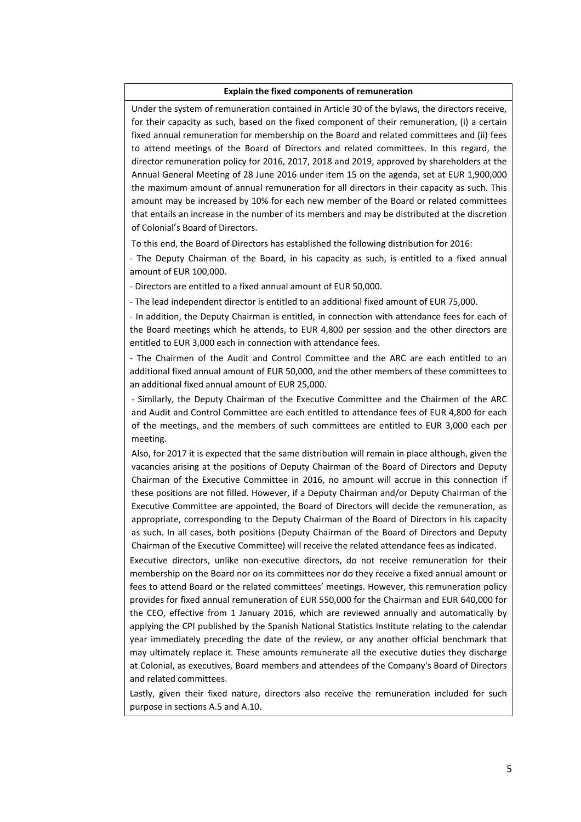#### **Explain the fixed components of remuneration**

Under the system of remuneration contained in Article 30 of the bylaws, the directors receive, for their capacity as such, based on the fixed component of their remuneration, (i) a certain fixed annual remuneration for membership on the Board and related committees and (ii) fees to attend meetings of the Board of Directors and related committees. In this regard, the director remuneration policy for 2016, 2017, 2018 and 2019, approved by shareholders at the Annual General Meeting of 28 June 2016 under item 15 on the agenda, set at EUR 1,900,000 the maximum amount of annual remuneration for all directors in their capacity as such. This amount may be increased by 10% for each new member of the Board or related committees that entails an increase in the number of its members and may be distributed at the discretion of Colonial's Board of Directors.

To this end, the Board of Directors has established the following distribution for 2016:

‐ The Deputy Chairman of the Board, in his capacity as such, is entitled to a fixed annual amount of EUR 100,000.

‐ Directors are entitled to a fixed annual amount of EUR 50,000.

‐ The lead independent director is entitled to an additional fixed amount of EUR 75,000.

‐ In addition, the Deputy Chairman is entitled, in connection with attendance fees for each of the Board meetings which he attends, to EUR 4,800 per session and the other directors are entitled to EUR 3,000 each in connection with attendance fees.

‐ The Chairmen of the Audit and Control Committee and the ARC are each entitled to an additional fixed annual amount of EUR 50,000, and the other members of these committees to an additional fixed annual amount of EUR 25,000.

‐ Similarly, the Deputy Chairman of the Executive Committee and the Chairmen of the ARC and Audit and Control Committee are each entitled to attendance fees of EUR 4,800 for each of the meetings, and the members of such committees are entitled to EUR 3,000 each per meeting.

Also, for 2017 it is expected that the same distribution will remain in place although, given the vacancies arising at the positions of Deputy Chairman of the Board of Directors and Deputy Chairman of the Executive Committee in 2016, no amount will accrue in this connection if these positions are not filled. However, if a Deputy Chairman and/or Deputy Chairman of the Executive Committee are appointed, the Board of Directors will decide the remuneration, as appropriate, corresponding to the Deputy Chairman of the Board of Directors in his capacity as such. In all cases, both positions (Deputy Chairman of the Board of Directors and Deputy Chairman of the Executive Committee) will receive the related attendance fees as indicated.

Executive directors, unlike non-executive directors, do not receive remuneration for their membership on the Board nor on its committees nor do they receive a fixed annual amount or fees to attend Board or the related committees' meetings. However, this remuneration policy provides for fixed annual remuneration of EUR 550,000 for the Chairman and EUR 640,000 for the CEO, effective from 1 January 2016, which are reviewed annually and automatically by applying the CPI published by the Spanish National Statistics Institute relating to the calendar year immediately preceding the date of the review, or any another official benchmark that may ultimately replace it. These amounts remunerate all the executive duties they discharge at Colonial, as executives, Board members and attendees of the Company's Board of Directors and related committees.

Lastly, given their fixed nature, directors also receive the remuneration included for such purpose in sections A.5 and A.10.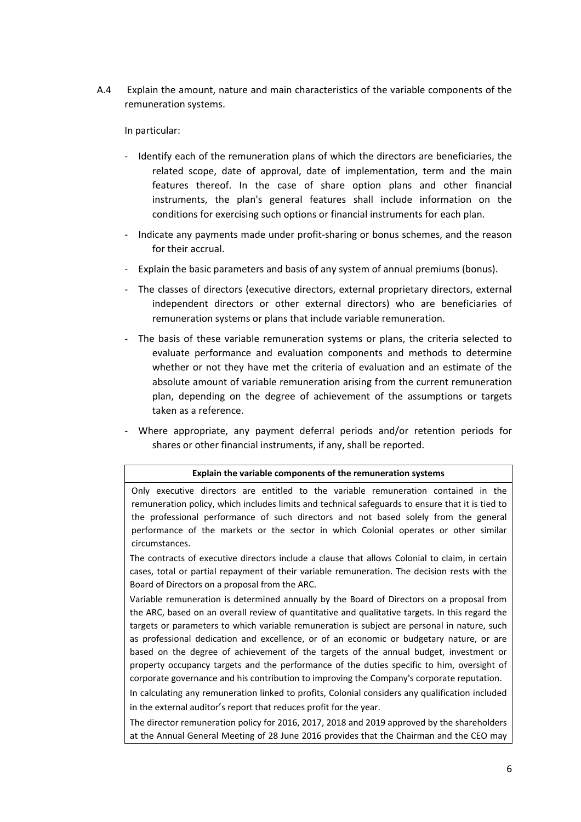A.4 Explain the amount, nature and main characteristics of the variable components of the remuneration systems.

In particular:

- ‐ Identify each of the remuneration plans of which the directors are beneficiaries, the related scope, date of approval, date of implementation, term and the main features thereof. In the case of share option plans and other financial instruments, the plan's general features shall include information on the conditions for exercising such options or financial instruments for each plan.
- ‐ Indicate any payments made under profit‐sharing or bonus schemes, and the reason for their accrual.
- ‐ Explain the basic parameters and basis of any system of annual premiums (bonus).
- The classes of directors (executive directors, external proprietary directors, external independent directors or other external directors) who are beneficiaries of remuneration systems or plans that include variable remuneration.
- ‐ The basis of these variable remuneration systems or plans, the criteria selected to evaluate performance and evaluation components and methods to determine whether or not they have met the criteria of evaluation and an estimate of the absolute amount of variable remuneration arising from the current remuneration plan, depending on the degree of achievement of the assumptions or targets taken as a reference.
- ‐ Where appropriate, any payment deferral periods and/or retention periods for shares or other financial instruments, if any, shall be reported.

### **Explain the variable components of the remuneration systems**

Only executive directors are entitled to the variable remuneration contained in the remuneration policy, which includes limits and technical safeguards to ensure that it is tied to the professional performance of such directors and not based solely from the general performance of the markets or the sector in which Colonial operates or other similar circumstances.

The contracts of executive directors include a clause that allows Colonial to claim, in certain cases, total or partial repayment of their variable remuneration. The decision rests with the Board of Directors on a proposal from the ARC.

Variable remuneration is determined annually by the Board of Directors on a proposal from the ARC, based on an overall review of quantitative and qualitative targets. In this regard the targets or parameters to which variable remuneration is subject are personal in nature, such as professional dedication and excellence, or of an economic or budgetary nature, or are based on the degree of achievement of the targets of the annual budget, investment or property occupancy targets and the performance of the duties specific to him, oversight of corporate governance and his contribution to improving the Company's corporate reputation.

In calculating any remuneration linked to profits, Colonial considers any qualification included in the external auditor's report that reduces profit for the year.

The director remuneration policy for 2016, 2017, 2018 and 2019 approved by the shareholders at the Annual General Meeting of 28 June 2016 provides that the Chairman and the CEO may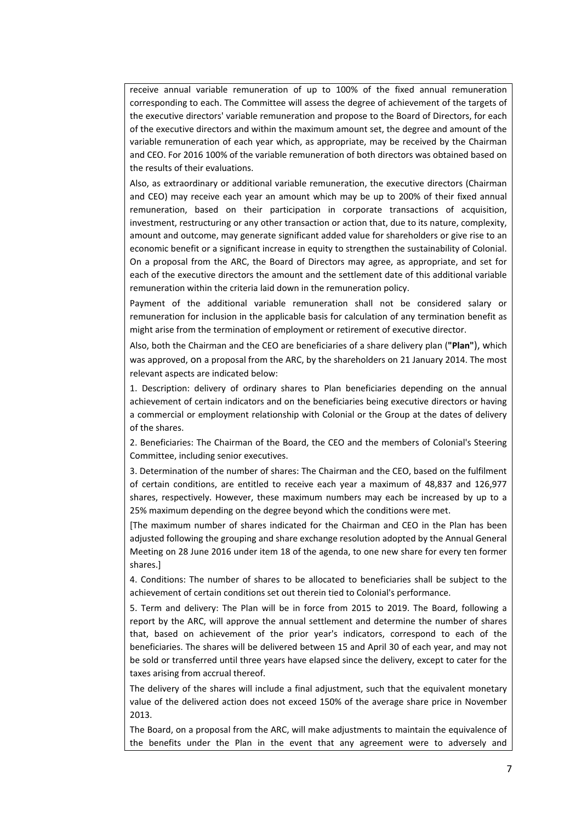receive annual variable remuneration of up to 100% of the fixed annual remuneration corresponding to each. The Committee will assess the degree of achievement of the targets of the executive directors' variable remuneration and propose to the Board of Directors, for each of the executive directors and within the maximum amount set, the degree and amount of the variable remuneration of each year which, as appropriate, may be received by the Chairman and CEO. For 2016 100% of the variable remuneration of both directors was obtained based on the results of their evaluations.

Also, as extraordinary or additional variable remuneration, the executive directors (Chairman and CEO) may receive each year an amount which may be up to 200% of their fixed annual remuneration, based on their participation in corporate transactions of acquisition, investment, restructuring or any other transaction or action that, due to its nature, complexity, amount and outcome, may generate significant added value for shareholders or give rise to an economic benefit or a significant increase in equity to strengthen the sustainability of Colonial. On a proposal from the ARC, the Board of Directors may agree, as appropriate, and set for each of the executive directors the amount and the settlement date of this additional variable remuneration within the criteria laid down in the remuneration policy.

Payment of the additional variable remuneration shall not be considered salary or remuneration for inclusion in the applicable basis for calculation of any termination benefit as might arise from the termination of employment or retirement of executive director.

Also, both the Chairman and the CEO are beneficiaries of a share delivery plan (**"Plan"**), which was approved, on a proposal from the ARC, by the shareholders on 21 January 2014. The most relevant aspects are indicated below:

1. Description: delivery of ordinary shares to Plan beneficiaries depending on the annual achievement of certain indicators and on the beneficiaries being executive directors or having a commercial or employment relationship with Colonial or the Group at the dates of delivery of the shares.

2. Beneficiaries: The Chairman of the Board, the CEO and the members of Colonial's Steering Committee, including senior executives.

3. Determination of the number of shares: The Chairman and the CEO, based on the fulfilment of certain conditions, are entitled to receive each year a maximum of 48,837 and 126,977 shares, respectively. However, these maximum numbers may each be increased by up to a 25% maximum depending on the degree beyond which the conditions were met.

[The maximum number of shares indicated for the Chairman and CEO in the Plan has been adjusted following the grouping and share exchange resolution adopted by the Annual General Meeting on 28 June 2016 under item 18 of the agenda, to one new share for every ten former shares.]

4. Conditions: The number of shares to be allocated to beneficiaries shall be subject to the achievement of certain conditions set out therein tied to Colonial's performance.

5. Term and delivery: The Plan will be in force from 2015 to 2019. The Board, following a report by the ARC, will approve the annual settlement and determine the number of shares that, based on achievement of the prior year's indicators, correspond to each of the beneficiaries. The shares will be delivered between 15 and April 30 of each year, and may not be sold or transferred until three years have elapsed since the delivery, except to cater for the taxes arising from accrual thereof.

The delivery of the shares will include a final adjustment, such that the equivalent monetary value of the delivered action does not exceed 150% of the average share price in November 2013.

The Board, on a proposal from the ARC, will make adjustments to maintain the equivalence of the benefits under the Plan in the event that any agreement were to adversely and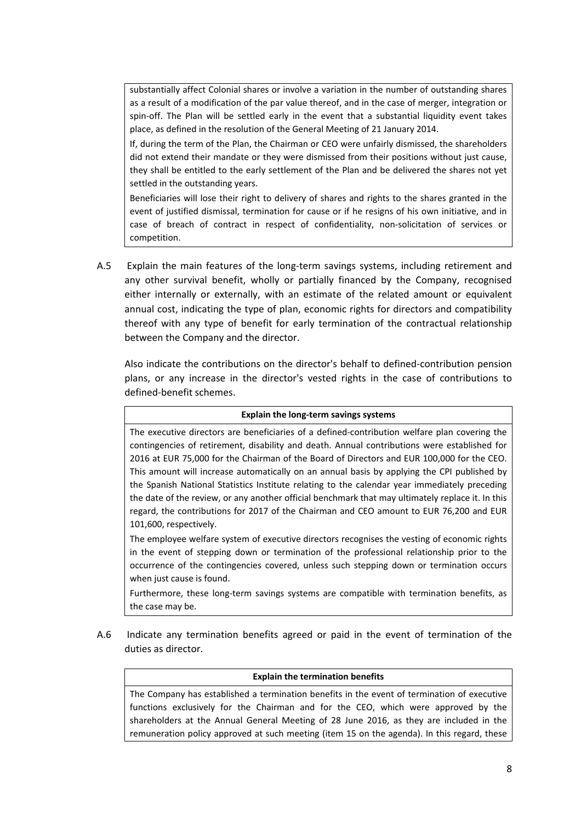substantially affect Colonial shares or involve a variation in the number of outstanding shares as a result of a modification of the par value thereof, and in the case of merger, integration or spin-off. The Plan will be settled early in the event that a substantial liquidity event takes place, as defined in the resolution of the General Meeting of 21 January 2014.

If, during the term of the Plan, the Chairman or CEO were unfairly dismissed, the shareholders did not extend their mandate or they were dismissed from their positions without just cause, they shall be entitled to the early settlement of the Plan and be delivered the shares not yet settled in the outstanding years.

Beneficiaries will lose their right to delivery of shares and rights to the shares granted in the event of justified dismissal, termination for cause or if he resigns of his own initiative, and in case of breach of contract in respect of confidentiality, non‐solicitation of services or competition.

A.5 Explain the main features of the long-term savings systems, including retirement and any other survival benefit, wholly or partially financed by the Company, recognised either internally or externally, with an estimate of the related amount or equivalent annual cost, indicating the type of plan, economic rights for directors and compatibility thereof with any type of benefit for early termination of the contractual relationship between the Company and the director.

Also indicate the contributions on the director's behalf to defined‐contribution pension plans, or any increase in the director's vested rights in the case of contributions to defined‐benefit schemes.

| Explain the long-term savings systems                                                                                                                                                                                                                                                                                                                                                                                                                                                                                                                                                                                                                                                                                 |
|-----------------------------------------------------------------------------------------------------------------------------------------------------------------------------------------------------------------------------------------------------------------------------------------------------------------------------------------------------------------------------------------------------------------------------------------------------------------------------------------------------------------------------------------------------------------------------------------------------------------------------------------------------------------------------------------------------------------------|
| The executive directors are beneficiaries of a defined-contribution welfare plan covering the<br>contingencies of retirement, disability and death. Annual contributions were established for<br>2016 at EUR 75,000 for the Chairman of the Board of Directors and EUR 100,000 for the CEO.<br>This amount will increase automatically on an annual basis by applying the CPI published by<br>the Spanish National Statistics Institute relating to the calendar year immediately preceding<br>the date of the review, or any another official benchmark that may ultimately replace it. In this<br>regard, the contributions for 2017 of the Chairman and CEO amount to EUR 76,200 and EUR<br>101,600, respectively. |
| The employee welfare system of executive directors recognises the vesting of economic rights<br>in the event of stepping down or termination of the professional relationship prior to the<br>occurrence of the contingencies covered, unless such stepping down or termination occurs<br>when just cause is found.                                                                                                                                                                                                                                                                                                                                                                                                   |
| Furthermore, these long-term savings systems are compatible with termination benefits, as<br>the case may be.                                                                                                                                                                                                                                                                                                                                                                                                                                                                                                                                                                                                         |

A.6 Indicate any termination benefits agreed or paid in the event of termination of the duties as director.

### **Explain the termination benefits**

The Company has established a termination benefits in the event of termination of executive functions exclusively for the Chairman and for the CEO, which were approved by the shareholders at the Annual General Meeting of 28 June 2016, as they are included in the remuneration policy approved at such meeting (item 15 on the agenda). In this regard, these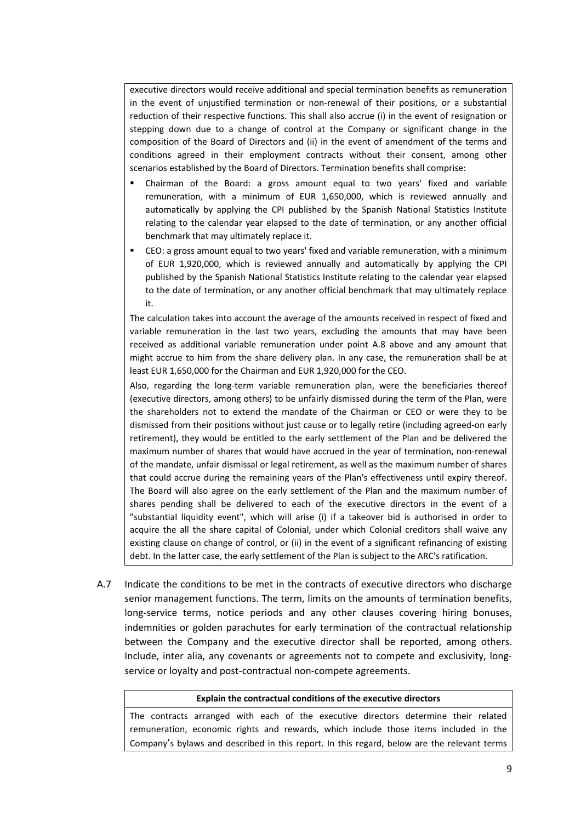executive directors would receive additional and special termination benefits as remuneration in the event of unjustified termination or non-renewal of their positions, or a substantial reduction of their respective functions. This shall also accrue (i) in the event of resignation or stepping down due to a change of control at the Company or significant change in the composition of the Board of Directors and (ii) in the event of amendment of the terms and conditions agreed in their employment contracts without their consent, among other scenarios established by the Board of Directors. Termination benefits shall comprise:

- Chairman of the Board: a gross amount equal to two years' fixed and variable remuneration, with a minimum of EUR 1,650,000, which is reviewed annually and automatically by applying the CPI published by the Spanish National Statistics Institute relating to the calendar year elapsed to the date of termination, or any another official benchmark that may ultimately replace it.
- CEO: a gross amount equal to two years' fixed and variable remuneration, with a minimum of EUR 1,920,000, which is reviewed annually and automatically by applying the CPI published by the Spanish National Statistics Institute relating to the calendar year elapsed to the date of termination, or any another official benchmark that may ultimately replace it.

The calculation takes into account the average of the amounts received in respect of fixed and variable remuneration in the last two years, excluding the amounts that may have been received as additional variable remuneration under point A.8 above and any amount that might accrue to him from the share delivery plan. In any case, the remuneration shall be at least EUR 1,650,000 for the Chairman and EUR 1,920,000 for the CEO.

Also, regarding the long‐term variable remuneration plan, were the beneficiaries thereof (executive directors, among others) to be unfairly dismissed during the term of the Plan, were the shareholders not to extend the mandate of the Chairman or CEO or were they to be dismissed from their positions without just cause or to legally retire (including agreed‐on early retirement), they would be entitled to the early settlement of the Plan and be delivered the maximum number of shares that would have accrued in the year of termination, non-renewal of the mandate, unfair dismissal or legal retirement, as well as the maximum number of shares that could accrue during the remaining years of the Plan's effectiveness until expiry thereof. The Board will also agree on the early settlement of the Plan and the maximum number of shares pending shall be delivered to each of the executive directors in the event of a "substantial liquidity event", which will arise (i) if a takeover bid is authorised in order to acquire the all the share capital of Colonial, under which Colonial creditors shall waive any existing clause on change of control, or (ii) in the event of a significant refinancing of existing debt. In the latter case, the early settlement of the Plan is subject to the ARC's ratification.

A.7 Indicate the conditions to be met in the contracts of executive directors who discharge senior management functions. The term, limits on the amounts of termination benefits, long-service terms, notice periods and any other clauses covering hiring bonuses, indemnities or golden parachutes for early termination of the contractual relationship between the Company and the executive director shall be reported, among others. Include, inter alia, any covenants or agreements not to compete and exclusivity, long‐ service or loyalty and post-contractual non-compete agreements.

#### **Explain the contractual conditions of the executive directors**

The contracts arranged with each of the executive directors determine their related remuneration, economic rights and rewards, which include those items included in the Company's bylaws and described in this report. In this regard, below are the relevant terms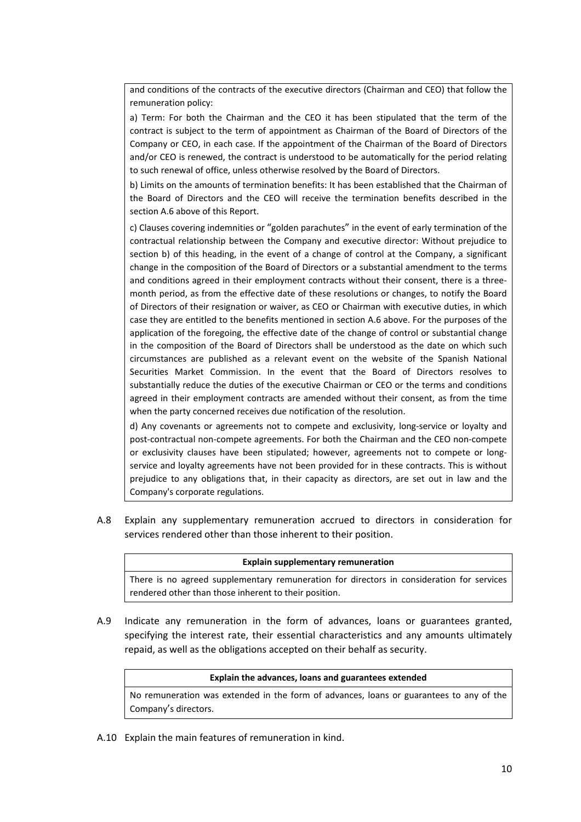and conditions of the contracts of the executive directors (Chairman and CEO) that follow the remuneration policy:

a) Term: For both the Chairman and the CEO it has been stipulated that the term of the contract is subject to the term of appointment as Chairman of the Board of Directors of the Company or CEO, in each case. If the appointment of the Chairman of the Board of Directors and/or CEO is renewed, the contract is understood to be automatically for the period relating to such renewal of office, unless otherwise resolved by the Board of Directors.

b) Limits on the amounts of termination benefits: It has been established that the Chairman of the Board of Directors and the CEO will receive the termination benefits described in the section A.6 above of this Report.

c) Clauses covering indemnities or "golden parachutes" in the event of early termination of the contractual relationship between the Company and executive director: Without prejudice to section b) of this heading, in the event of a change of control at the Company, a significant change in the composition of the Board of Directors or a substantial amendment to the terms and conditions agreed in their employment contracts without their consent, there is a threemonth period, as from the effective date of these resolutions or changes, to notify the Board of Directors of their resignation or waiver, as CEO or Chairman with executive duties, in which case they are entitled to the benefits mentioned in section A.6 above. For the purposes of the application of the foregoing, the effective date of the change of control or substantial change in the composition of the Board of Directors shall be understood as the date on which such circumstances are published as a relevant event on the website of the Spanish National Securities Market Commission. In the event that the Board of Directors resolves to substantially reduce the duties of the executive Chairman or CEO or the terms and conditions agreed in their employment contracts are amended without their consent, as from the time when the party concerned receives due notification of the resolution.

d) Any covenants or agreements not to compete and exclusivity, long‐service or loyalty and post-contractual non-compete agreements. For both the Chairman and the CEO non-compete or exclusivity clauses have been stipulated; however, agreements not to compete or long‐ service and loyalty agreements have not been provided for in these contracts. This is without prejudice to any obligations that, in their capacity as directors, are set out in law and the Company's corporate regulations.

A.8 Explain any supplementary remuneration accrued to directors in consideration for services rendered other than those inherent to their position.

### **Explain supplementary remuneration**

There is no agreed supplementary remuneration for directors in consideration for services rendered other than those inherent to their position.

A.9 Indicate any remuneration in the form of advances, loans or guarantees granted, specifying the interest rate, their essential characteristics and any amounts ultimately repaid, as well as the obligations accepted on their behalf as security.

#### **Explain the advances, loans and guarantees extended**

No remuneration was extended in the form of advances, loans or guarantees to any of the Company's directors.

A.10 Explain the main features of remuneration in kind.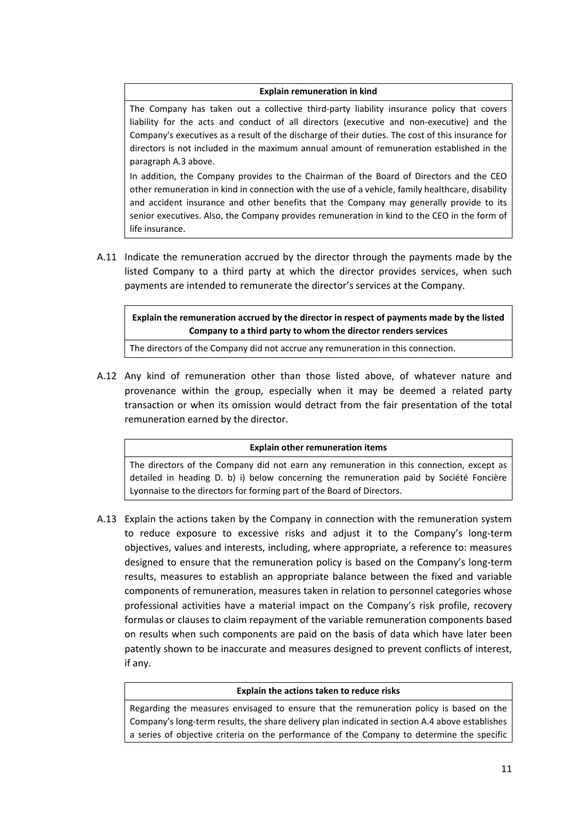## **Explain remuneration in kind**

The Company has taken out a collective third‐party liability insurance policy that covers liability for the acts and conduct of all directors (executive and non‐executive) and the Company's executives as a result of the discharge of their duties. The cost of this insurance for directors is not included in the maximum annual amount of remuneration established in the paragraph A.3 above.

In addition, the Company provides to the Chairman of the Board of Directors and the CEO other remuneration in kind in connection with the use of a vehicle, family healthcare, disability and accident insurance and other benefits that the Company may generally provide to its senior executives. Also, the Company provides remuneration in kind to the CEO in the form of life insurance.

A.11 Indicate the remuneration accrued by the director through the payments made by the listed Company to a third party at which the director provides services, when such payments are intended to remunerate the director's services at the Company.

**Explain the remuneration accrued by the director in respect of payments made by the listed Company to a third party to whom the director renders services**

The directors of the Company did not accrue any remuneration in this connection.

A.12 Any kind of remuneration other than those listed above, of whatever nature and provenance within the group, especially when it may be deemed a related party transaction or when its omission would detract from the fair presentation of the total remuneration earned by the director.

### **Explain other remuneration items**

The directors of the Company did not earn any remuneration in this connection, except as detailed in heading D. b) i) below concerning the remuneration paid by Société Foncière Lyonnaise to the directors for forming part of the Board of Directors.

A.13 Explain the actions taken by the Company in connection with the remuneration system to reduce exposure to excessive risks and adjust it to the Company's long‐term objectives, values and interests, including, where appropriate, a reference to: measures designed to ensure that the remuneration policy is based on the Company's long‐term results, measures to establish an appropriate balance between the fixed and variable components of remuneration, measures taken in relation to personnel categories whose professional activities have a material impact on the Company's risk profile, recovery formulas or clauses to claim repayment of the variable remuneration components based on results when such components are paid on the basis of data which have later been patently shown to be inaccurate and measures designed to prevent conflicts of interest, if any.

## **Explain the actions taken to reduce risks**

Regarding the measures envisaged to ensure that the remuneration policy is based on the Company's long‐term results, the share delivery plan indicated in section A.4 above establishes a series of objective criteria on the performance of the Company to determine the specific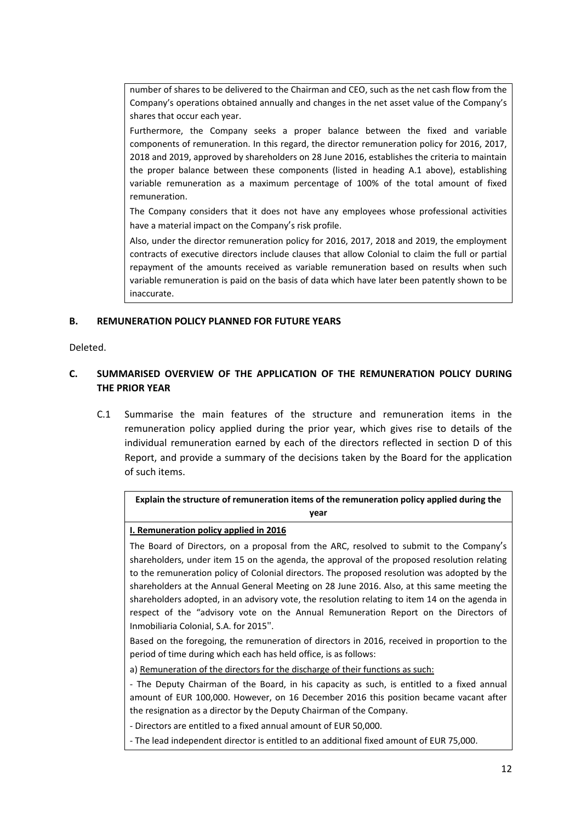number of shares to be delivered to the Chairman and CEO, such as the net cash flow from the Company's operations obtained annually and changes in the net asset value of the Company's shares that occur each year.

Furthermore, the Company seeks a proper balance between the fixed and variable components of remuneration. In this regard, the director remuneration policy for 2016, 2017, 2018 and 2019, approved by shareholders on 28 June 2016, establishes the criteria to maintain the proper balance between these components (listed in heading A.1 above), establishing variable remuneration as a maximum percentage of 100% of the total amount of fixed remuneration.

The Company considers that it does not have any employees whose professional activities have a material impact on the Company's risk profile.

Also, under the director remuneration policy for 2016, 2017, 2018 and 2019, the employment contracts of executive directors include clauses that allow Colonial to claim the full or partial repayment of the amounts received as variable remuneration based on results when such variable remuneration is paid on the basis of data which have later been patently shown to be inaccurate.

# **B. REMUNERATION POLICY PLANNED FOR FUTURE YEARS**

Deleted.

# **C. SUMMARISED OVERVIEW OF THE APPLICATION OF THE REMUNERATION POLICY DURING THE PRIOR YEAR**

C.1 Summarise the main features of the structure and remuneration items in the remuneration policy applied during the prior year, which gives rise to details of the individual remuneration earned by each of the directors reflected in section D of this Report, and provide a summary of the decisions taken by the Board for the application of such items.

| Explain the structure of remuneration items of the remuneration policy applied during the |
|-------------------------------------------------------------------------------------------|
| vear                                                                                      |

### **I. Remuneration policy applied in 2016**

The Board of Directors, on a proposal from the ARC, resolved to submit to the Company's shareholders, under item 15 on the agenda, the approval of the proposed resolution relating to the remuneration policy of Colonial directors. The proposed resolution was adopted by the shareholders at the Annual General Meeting on 28 June 2016. Also, at this same meeting the shareholders adopted, in an advisory vote, the resolution relating to item 14 on the agenda in respect of the "advisory vote on the Annual Remuneration Report on the Directors of Inmobiliaria Colonial, S.A. for 2015".

Based on the foregoing, the remuneration of directors in 2016, received in proportion to the period of time during which each has held office, is as follows:

a) Remuneration of the directors for the discharge of their functions as such:

‐ The Deputy Chairman of the Board, in his capacity as such, is entitled to a fixed annual amount of EUR 100,000. However, on 16 December 2016 this position became vacant after the resignation as a director by the Deputy Chairman of the Company.

‐ Directors are entitled to a fixed annual amount of EUR 50,000.

‐ The lead independent director is entitled to an additional fixed amount of EUR 75,000.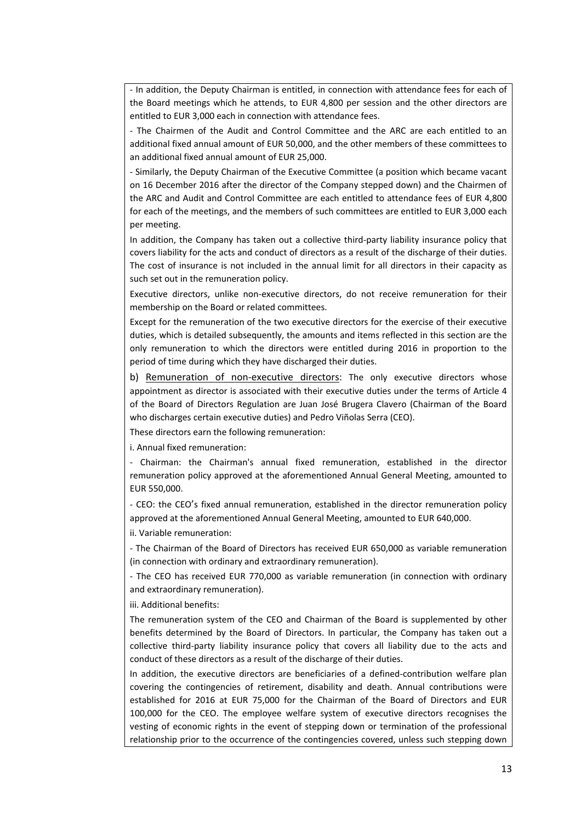‐ In addition, the Deputy Chairman is entitled, in connection with attendance fees for each of the Board meetings which he attends, to EUR 4,800 per session and the other directors are entitled to EUR 3,000 each in connection with attendance fees.

‐ The Chairmen of the Audit and Control Committee and the ARC are each entitled to an additional fixed annual amount of EUR 50,000, and the other members of these committees to an additional fixed annual amount of EUR 25,000.

‐ Similarly, the Deputy Chairman of the Executive Committee (a position which became vacant on 16 December 2016 after the director of the Company stepped down) and the Chairmen of the ARC and Audit and Control Committee are each entitled to attendance fees of EUR 4,800 for each of the meetings, and the members of such committees are entitled to EUR 3,000 each per meeting.

In addition, the Company has taken out a collective third‐party liability insurance policy that covers liability for the acts and conduct of directors as a result of the discharge of their duties. The cost of insurance is not included in the annual limit for all directors in their capacity as such set out in the remuneration policy.

Executive directors, unlike non‐executive directors, do not receive remuneration for their membership on the Board or related committees.

Except for the remuneration of the two executive directors for the exercise of their executive duties, which is detailed subsequently, the amounts and items reflected in this section are the only remuneration to which the directors were entitled during 2016 in proportion to the period of time during which they have discharged their duties.

b) Remuneration of non-executive directors: The only executive directors whose appointment as director is associated with their executive duties under the terms of Article 4 of the Board of Directors Regulation are Juan José Brugera Clavero (Chairman of the Board who discharges certain executive duties) and Pedro Viñolas Serra (CEO).

These directors earn the following remuneration:

i. Annual fixed remuneration:

‐ Chairman: the Chairman's annual fixed remuneration, established in the director remuneration policy approved at the aforementioned Annual General Meeting, amounted to EUR 550,000.

‐ CEO: the CEO's fixed annual remuneration, established in the director remuneration policy approved at the aforementioned Annual General Meeting, amounted to EUR 640,000.

ii. Variable remuneration:

‐ The Chairman of the Board of Directors has received EUR 650,000 as variable remuneration (in connection with ordinary and extraordinary remuneration).

‐ The CEO has received EUR 770,000 as variable remuneration (in connection with ordinary and extraordinary remuneration).

iii. Additional benefits:

The remuneration system of the CEO and Chairman of the Board is supplemented by other benefits determined by the Board of Directors. In particular, the Company has taken out a collective third‐party liability insurance policy that covers all liability due to the acts and conduct of these directors as a result of the discharge of their duties.

In addition, the executive directors are beneficiaries of a defined‐contribution welfare plan covering the contingencies of retirement, disability and death. Annual contributions were established for 2016 at EUR 75,000 for the Chairman of the Board of Directors and EUR 100,000 for the CEO. The employee welfare system of executive directors recognises the vesting of economic rights in the event of stepping down or termination of the professional relationship prior to the occurrence of the contingencies covered, unless such stepping down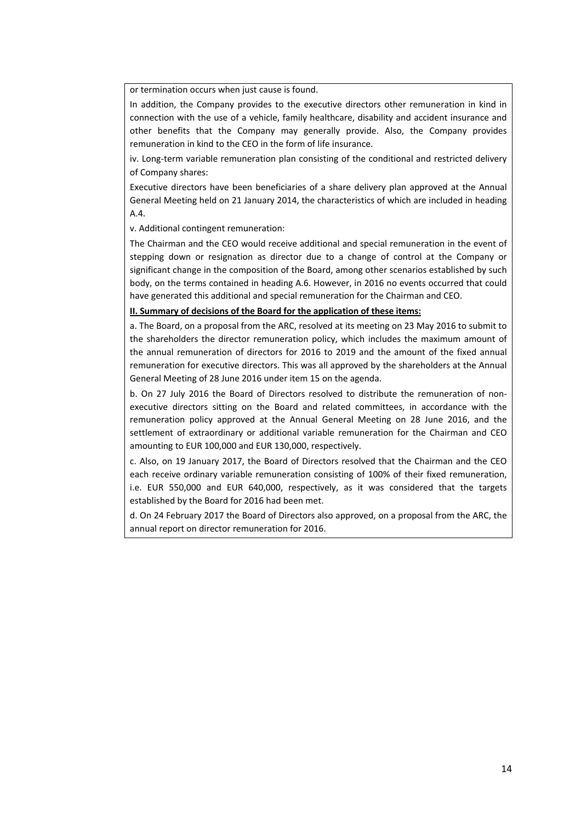or termination occurs when just cause is found.

In addition, the Company provides to the executive directors other remuneration in kind in connection with the use of a vehicle, family healthcare, disability and accident insurance and other benefits that the Company may generally provide. Also, the Company provides remuneration in kind to the CEO in the form of life insurance.

iv. Long-term variable remuneration plan consisting of the conditional and restricted delivery of Company shares:

Executive directors have been beneficiaries of a share delivery plan approved at the Annual General Meeting held on 21 January 2014, the characteristics of which are included in heading A.4.

v. Additional contingent remuneration:

The Chairman and the CEO would receive additional and special remuneration in the event of stepping down or resignation as director due to a change of control at the Company or significant change in the composition of the Board, among other scenarios established by such body, on the terms contained in heading A.6. However, in 2016 no events occurred that could have generated this additional and special remuneration for the Chairman and CEO.

### **II. Summary of decisions of the Board for the application of these items:**

a. The Board, on a proposal from the ARC, resolved at its meeting on 23 May 2016 to submit to the shareholders the director remuneration policy, which includes the maximum amount of the annual remuneration of directors for 2016 to 2019 and the amount of the fixed annual remuneration for executive directors. This was all approved by the shareholders at the Annual General Meeting of 28 June 2016 under item 15 on the agenda.

b. On 27 July 2016 the Board of Directors resolved to distribute the remuneration of nonexecutive directors sitting on the Board and related committees, in accordance with the remuneration policy approved at the Annual General Meeting on 28 June 2016, and the settlement of extraordinary or additional variable remuneration for the Chairman and CEO amounting to EUR 100,000 and EUR 130,000, respectively.

c. Also, on 19 January 2017, the Board of Directors resolved that the Chairman and the CEO each receive ordinary variable remuneration consisting of 100% of their fixed remuneration, i.e. EUR 550,000 and EUR 640,000, respectively, as it was considered that the targets established by the Board for 2016 had been met.

d. On 24 February 2017 the Board of Directors also approved, on a proposal from the ARC, the annual report on director remuneration for 2016.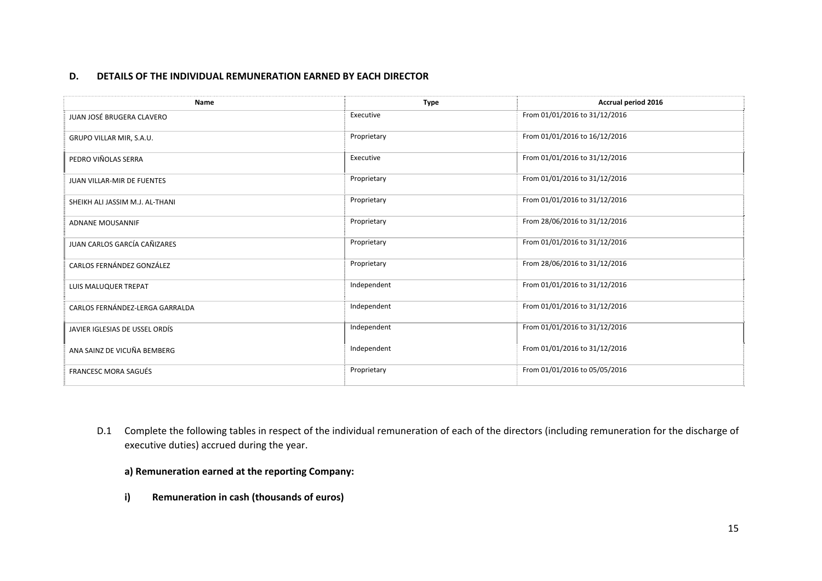#### **D.DETAILS OF THE INDIVIDUAL REMUNERATION EARNED BY EACH DIRECTOR**

| <b>Name</b>                     | <b>Type</b> | Accrual period 2016           |
|---------------------------------|-------------|-------------------------------|
| JUAN JOSÉ BRUGERA CLAVERO       | Executive   | From 01/01/2016 to 31/12/2016 |
| GRUPO VILLAR MIR, S.A.U.        | Proprietary | From 01/01/2016 to 16/12/2016 |
| PEDRO VIÑOLAS SERRA             | Executive   | From 01/01/2016 to 31/12/2016 |
| JUAN VILLAR-MIR DE FUENTES      | Proprietary | From 01/01/2016 to 31/12/2016 |
| SHEIKH ALI JASSIM M.J. AL-THANI | Proprietary | From 01/01/2016 to 31/12/2016 |
| <b>ADNANE MOUSANNIF</b>         | Proprietary | From 28/06/2016 to 31/12/2016 |
| JUAN CARLOS GARCÍA CAÑIZARES    | Proprietary | From 01/01/2016 to 31/12/2016 |
| CARLOS FERNÁNDEZ GONZÁLEZ       | Proprietary | From 28/06/2016 to 31/12/2016 |
| LUIS MALUQUER TREPAT            | Independent | From 01/01/2016 to 31/12/2016 |
| CARLOS FERNÁNDEZ-LERGA GARRALDA | Independent | From 01/01/2016 to 31/12/2016 |
| JAVIER IGLESIAS DE USSEL ORDÍS  | Independent | From 01/01/2016 to 31/12/2016 |
| ANA SAINZ DE VICUÑA BEMBERG     | Independent | From 01/01/2016 to 31/12/2016 |
| <b>FRANCESC MORA SAGUÉS</b>     | Proprietary | From 01/01/2016 to 05/05/2016 |

- D.1 Complete the following tables in respect of the individual remuneration of each of the directors (including remuneration for the discharge of executive duties) accrued during the year.
	- **a) Remuneration earned at the reporting Company:**
	- **i) Remuneration in cash (thousands of euros)**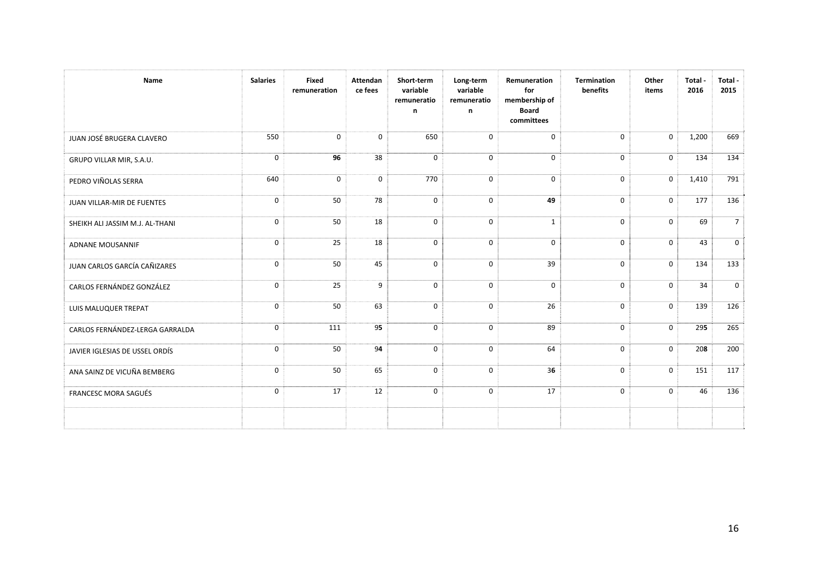| Name                            | <b>Salaries</b> | Fixed<br>remuneration | Attendan<br>ce fees | Short-term<br>variable<br>remuneratio<br>n | Long-term<br>variable<br>remuneratio<br>n | Remuneration<br>for<br>membership of<br><b>Board</b><br>committees | <b>Termination</b><br>benefits | Other<br>items | Total -<br>2016 | Total -<br>2015 |
|---------------------------------|-----------------|-----------------------|---------------------|--------------------------------------------|-------------------------------------------|--------------------------------------------------------------------|--------------------------------|----------------|-----------------|-----------------|
| JUAN JOSÉ BRUGERA CLAVERO       | 550             | $\mathbf 0$           | $\mathbf 0$         | 650                                        | $\mathbf 0$                               | $\mathbf 0$                                                        | $\mathbf 0$                    | $\mathbf 0$    | 1,200           | 669             |
| GRUPO VILLAR MIR, S.A.U.        | $\mathbf 0$     | 96                    | 38                  | $\mathbf 0$                                | $\mathbf 0$                               | $\mathbf 0$                                                        | $\mathbf{0}$                   | $\mathbf 0$    | 134             | 134             |
| PEDRO VIÑOLAS SERRA             | 640             | $\mathbf 0$           | 0                   | 770                                        | $\mathbf 0$                               | 0                                                                  | $\mathbf 0$                    | $\mathbf 0$    | 1,410           | 791             |
| JUAN VILLAR-MIR DE FUENTES      | 0               | 50                    | 78                  | $\mathbf 0$                                | $\mathbf 0$                               | 49                                                                 | $\mathbf 0$                    | $\mathbf 0$    | 177             | 136             |
| SHEIKH ALI JASSIM M.J. AL-THANI | $\mathbf 0$     | 50                    | 18                  | $\mathbf 0$                                | 0                                         | $\mathbf{1}$                                                       | $\mathbf 0$                    | $\mathbf 0$    | 69              | 7 <sup>1</sup>  |
| <b>ADNANE MOUSANNIF</b>         | $\mathbf 0$     | 25                    | 18                  | $\mathbf 0$                                | $\mathbf 0$                               | $\mathbf 0$                                                        | $\mathbf 0$                    | $\Omega$       | 43              | 0 <sup>1</sup>  |
| JUAN CARLOS GARCÍA CAÑIZARES    | 0               | 50                    | 45                  | $\mathbf 0$                                | $\mathbf 0$                               | 39                                                                 | $\mathbf 0$                    | $\mathbf 0$    | 134             | 133             |
| CARLOS FERNÁNDEZ GONZÁLEZ       | $\mathbf 0$     | 25                    | 9                   | $\mathbf 0$                                | $\mathbf 0$                               | $\mathbf 0$                                                        | $\mathbf{0}$                   | $\mathbf 0$    | 34              | $\overline{0}$  |
| LUIS MALUQUER TREPAT            | $\mathbf 0$     | 50                    | 63                  | $\mathbf 0$                                | $\mathbf 0$                               | 26                                                                 | $\mathbf{0}$                   | $\Omega$       | 139             | 126             |
| CARLOS FERNÁNDEZ-LERGA GARRALDA | $\mathbf 0$     | 111                   | 95                  | $\mathbf{0}$                               | $\mathbf 0$                               | 89                                                                 | $\mathbf 0$                    | $\mathbf 0$    | 295             | 265             |
| JAVIER IGLESIAS DE USSEL ORDÍS  | $\mathbf 0$     | 50                    | 94                  | $\mathbf 0$                                | $\mathbf 0$                               | 64                                                                 | $\mathbf 0$                    | $\mathbf 0$    | 208             | 200             |
| ANA SAINZ DE VICUÑA BEMBERG     | $\mathbf 0$     | 50                    | 65                  | $\mathbf 0$                                | $\mathbf 0$                               | 36                                                                 | $\mathbf{0}$                   | $\mathbf 0$    | 151             | 117             |
| FRANCESC MORA SAGUÉS            | $\mathbf 0$     | 17                    | 12                  | $\mathbf 0$                                | $\mathbf 0$                               | 17                                                                 | $\mathbf 0$                    | $\Omega$       | 46              | 136             |
|                                 |                 |                       |                     |                                            |                                           |                                                                    |                                |                |                 |                 |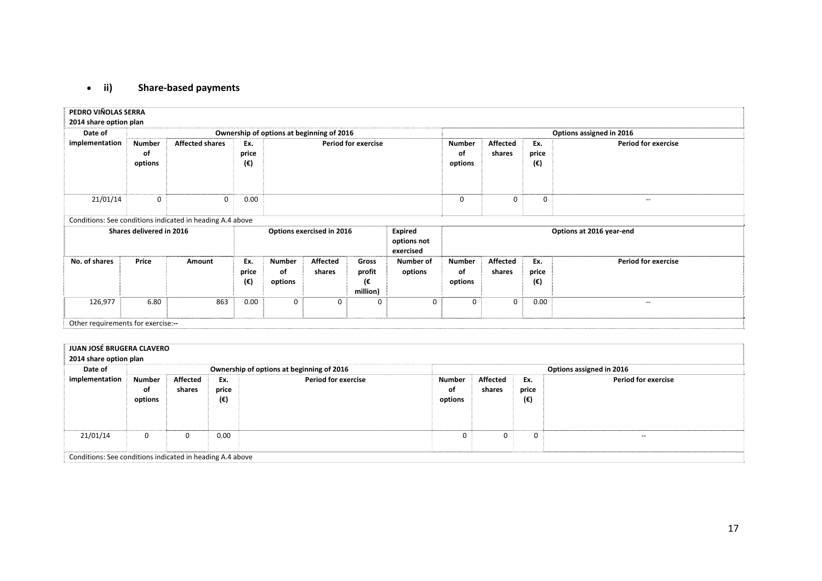#### $\bullet$  ii) **ii) Share‐based payments**

| PEDRO VIÑOLAS SERRA<br>2014 share option plan |                                    |                                                           |                                                                         |                                |                           |                                   |                                |                                |                           |                            |                            |
|-----------------------------------------------|------------------------------------|-----------------------------------------------------------|-------------------------------------------------------------------------|--------------------------------|---------------------------|-----------------------------------|--------------------------------|--------------------------------|---------------------------|----------------------------|----------------------------|
| Date of                                       |                                    | Ownership of options at beginning of 2016                 |                                                                         |                                |                           |                                   |                                | Options assigned in 2016       |                           |                            |                            |
| implementation                                | <b>Number</b><br>оf<br>options     | <b>Affected shares</b>                                    | Ex.<br>price<br>(€)                                                     | <b>Period for exercise</b>     |                           |                                   | <b>Number</b><br>οf<br>options | <b>Affected</b><br>shares      | Ex.<br>price<br>(€)       | <b>Period for exercise</b> |                            |
| 21/01/14                                      | $\mathbf 0$                        | 0                                                         | 0.00                                                                    |                                |                           |                                   | $\Omega$                       | $\Omega$                       | 0                         | $\overline{\phantom{m}}$   |                            |
|                                               |                                    | Conditions: See conditions indicated in heading A.4 above |                                                                         |                                |                           |                                   |                                |                                |                           |                            |                            |
|                                               | Shares delivered in 2016           |                                                           | <b>Expired</b><br>Options exercised in 2016<br>options not<br>exercised |                                |                           |                                   |                                | Options at 2016 year-end       |                           |                            |                            |
| No. of shares                                 | Price                              | Amount                                                    | Ex.<br>price<br>(€)                                                     | <b>Number</b><br>οf<br>options | <b>Affected</b><br>shares | Gross<br>profit<br>ι€<br>million) | Number of<br>options           | <b>Number</b><br>of<br>options | <b>Affected</b><br>shares | Ex.<br>price<br>(€)        | <b>Period for exercise</b> |
| 126,977                                       | 6.80                               | 863                                                       | 0.00                                                                    | $\mathbf 0$                    | 0                         | $\Omega$                          | $\Omega$                       | $\Omega$                       | $\mathbf 0$               | 0.00                       | $\overline{\phantom{m}}$   |
|                                               | Other requirements for exercise:-- |                                                           |                                                                         |                                |                           |                                   |                                |                                |                           |                            |                            |

| JUAN JOSÉ BRUGERA CLAVERO |                                                           |          |       |                                           |              |                          |       |                            |  |  |  |  |
|---------------------------|-----------------------------------------------------------|----------|-------|-------------------------------------------|--------------|--------------------------|-------|----------------------------|--|--|--|--|
| 2014 share option plan    |                                                           |          |       |                                           |              |                          |       |                            |  |  |  |  |
| Date of                   |                                                           |          |       | Ownership of options at beginning of 2016 |              | Options assigned in 2016 |       |                            |  |  |  |  |
| implementation            | Number                                                    | Affected | Ex.   | <b>Period for exercise</b>                | Number       | Affected                 | Ex.   | <b>Period for exercise</b> |  |  |  |  |
|                           | οf                                                        | shares   | price |                                           | оf           | shares                   | price |                            |  |  |  |  |
|                           | options                                                   |          | (€)   |                                           | options      |                          | (€)   |                            |  |  |  |  |
|                           |                                                           |          |       |                                           |              |                          |       |                            |  |  |  |  |
|                           |                                                           |          |       |                                           |              |                          |       |                            |  |  |  |  |
|                           |                                                           |          |       |                                           |              |                          |       |                            |  |  |  |  |
| 21/01/14                  | $\mathbf{0}$                                              | 0        | 0.00  |                                           | $\mathbf{0}$ | $\mathbf{0}$             | 0     | --                         |  |  |  |  |
|                           |                                                           |          |       |                                           |              |                          |       |                            |  |  |  |  |
|                           | Conditions: See conditions indicated in heading A.4 above |          |       |                                           |              |                          |       |                            |  |  |  |  |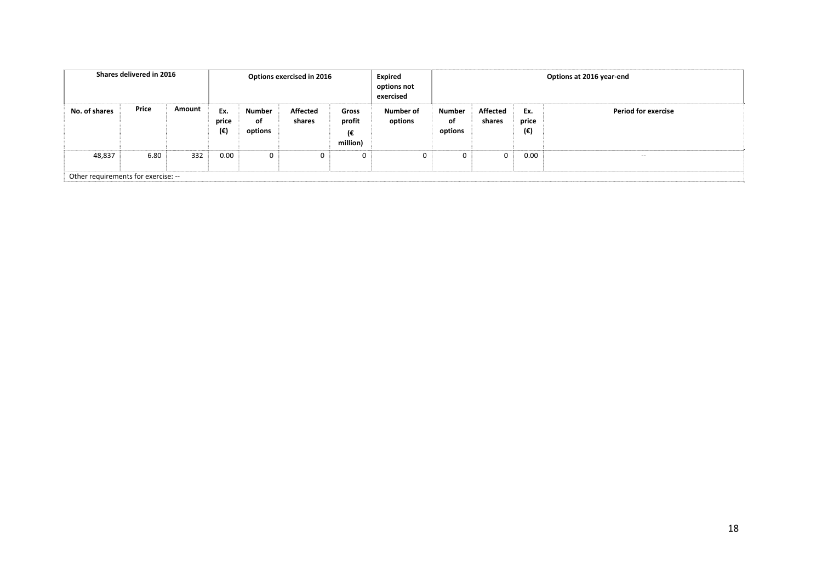| Shares delivered in 2016<br>Options exercised in 2016 |                                     |        |                              | <b>Expired</b><br>options not<br>exercised | Options at 2016 year-end  |                                   |                      |                                |                    |                     |                            |
|-------------------------------------------------------|-------------------------------------|--------|------------------------------|--------------------------------------------|---------------------------|-----------------------------------|----------------------|--------------------------------|--------------------|---------------------|----------------------------|
| No. of shares                                         | Price                               | Amount | Ex.<br>price<br>$(\epsilon)$ | Number<br>οf<br>options                    | <b>Affected</b><br>shares | Gross<br>profit<br>(€<br>million) | Number of<br>options | <b>Number</b><br>оf<br>options | Affected<br>shares | Ex.<br>price<br>(€) | <b>Period for exercise</b> |
| 48,837                                                | 6.80                                | 332    | 0.00                         | $\mathbf 0$                                | 0                         | 0                                 | 0                    | $\mathbf{0}$                   | $\mathbf{0}$       | 0.00                | $- -$                      |
|                                                       | Other requirements for exercise: -- |        |                              |                                            |                           |                                   |                      |                                |                    |                     |                            |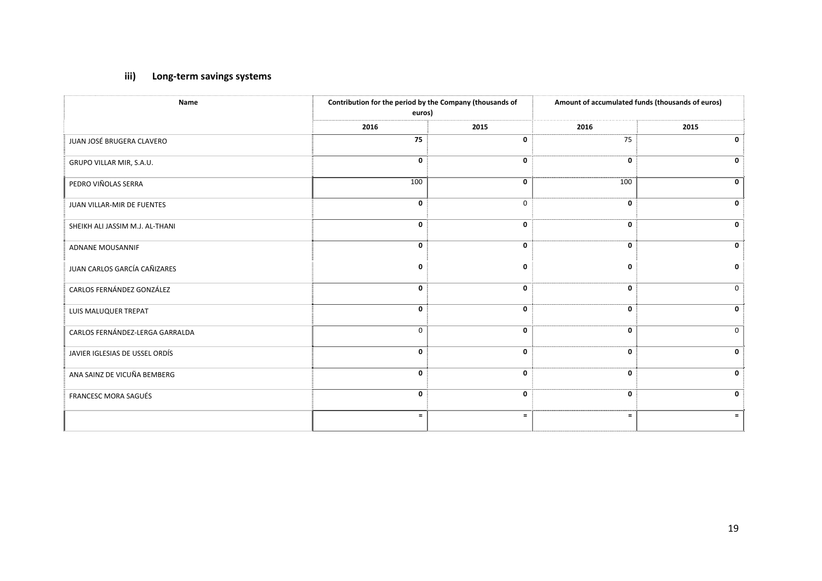# **iii) Long‐term savings systems**

| Name                            | Contribution for the period by the Company (thousands of<br>euros) |             | Amount of accumulated funds (thousands of euros) |              |  |
|---------------------------------|--------------------------------------------------------------------|-------------|--------------------------------------------------|--------------|--|
|                                 | 2016                                                               | 2015        | 2016                                             | 2015         |  |
| JUAN JOSÉ BRUGERA CLAVERO       | 75                                                                 | 0           | 75                                               | 0            |  |
| GRUPO VILLAR MIR, S.A.U.        | 0                                                                  | 0           | $\mathbf 0$                                      | $\mathbf 0$  |  |
| PEDRO VIÑOLAS SERRA             | 100                                                                | $\mathbf 0$ | 100                                              | 0            |  |
| JUAN VILLAR-MIR DE FUENTES      | 0                                                                  | $\mathbf 0$ | 0                                                | $\mathbf 0$  |  |
| SHEIKH ALI JASSIM M.J. AL-THANI | 0                                                                  | 0           | 0                                                | $\mathbf 0$  |  |
| <b>ADNANE MOUSANNIF</b>         | 0                                                                  | $\mathbf 0$ | 0                                                | $\mathbf{0}$ |  |
| JUAN CARLOS GARCÍA CAÑIZARES    | $\mathbf 0$                                                        | $\mathbf 0$ | 0                                                | $\mathbf 0$  |  |
| CARLOS FERNÁNDEZ GONZÁLEZ       | $\mathbf{0}$                                                       | $\mathbf 0$ | 0                                                | $\mathbf{0}$ |  |
| LUIS MALUQUER TREPAT            | 0                                                                  | $\mathbf 0$ | 0                                                | $\mathbf 0$  |  |
| CARLOS FERNÁNDEZ-LERGA GARRALDA | $\mathbf 0$                                                        | $\mathbf 0$ | 0                                                | $\mathbf 0$  |  |
| JAVIER IGLESIAS DE USSEL ORDÍS  | $\mathbf{0}$                                                       | $\mathbf 0$ | 0                                                | $\mathbf 0$  |  |
| ANA SAINZ DE VICUÑA BEMBERG     | 0                                                                  | $\mathbf 0$ | 0                                                | $\mathbf 0$  |  |
| FRANCESC MORA SAGUÉS            | 0                                                                  | $\mathbf 0$ | 0                                                | $\mathbf 0$  |  |
|                                 | $\equiv$                                                           | $\equiv$    | $=$                                              | $=$          |  |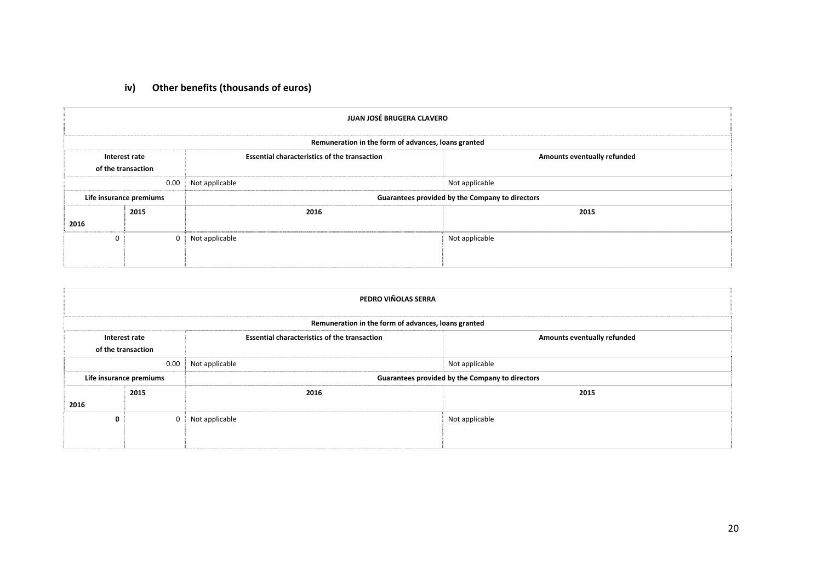# **iv) Other benefits (thousands of euros)**

|      | JUAN JOSÉ BRUGERA CLAVERO                           |                                                     |                                                 |  |  |  |  |  |  |
|------|-----------------------------------------------------|-----------------------------------------------------|-------------------------------------------------|--|--|--|--|--|--|
|      | Remuneration in the form of advances, loans granted |                                                     |                                                 |  |  |  |  |  |  |
|      | Interest rate<br>of the transaction                 | <b>Essential characteristics of the transaction</b> | <b>Amounts eventually refunded</b>              |  |  |  |  |  |  |
|      | 0.00                                                | Not applicable                                      | Not applicable                                  |  |  |  |  |  |  |
|      | Life insurance premiums                             |                                                     | Guarantees provided by the Company to directors |  |  |  |  |  |  |
|      | 2015                                                | 2016                                                | 2015                                            |  |  |  |  |  |  |
| 2016 |                                                     |                                                     |                                                 |  |  |  |  |  |  |
| U    | $\Omega$                                            | Not applicable                                      | Not applicable                                  |  |  |  |  |  |  |
|      |                                                     |                                                     |                                                 |  |  |  |  |  |  |

|      | PEDRO VIÑOLAS SERRA                                 |                                                     |                                                 |  |  |  |  |  |  |
|------|-----------------------------------------------------|-----------------------------------------------------|-------------------------------------------------|--|--|--|--|--|--|
|      | Remuneration in the form of advances, loans granted |                                                     |                                                 |  |  |  |  |  |  |
|      | Interest rate<br>of the transaction                 | <b>Essential characteristics of the transaction</b> | Amounts eventually refunded                     |  |  |  |  |  |  |
|      | 0.00                                                | Not applicable                                      | Not applicable                                  |  |  |  |  |  |  |
|      | Life insurance premiums                             |                                                     | Guarantees provided by the Company to directors |  |  |  |  |  |  |
| 2016 | 2016<br>2015                                        |                                                     | 2015                                            |  |  |  |  |  |  |
| 0    |                                                     | Not applicable                                      | Not applicable                                  |  |  |  |  |  |  |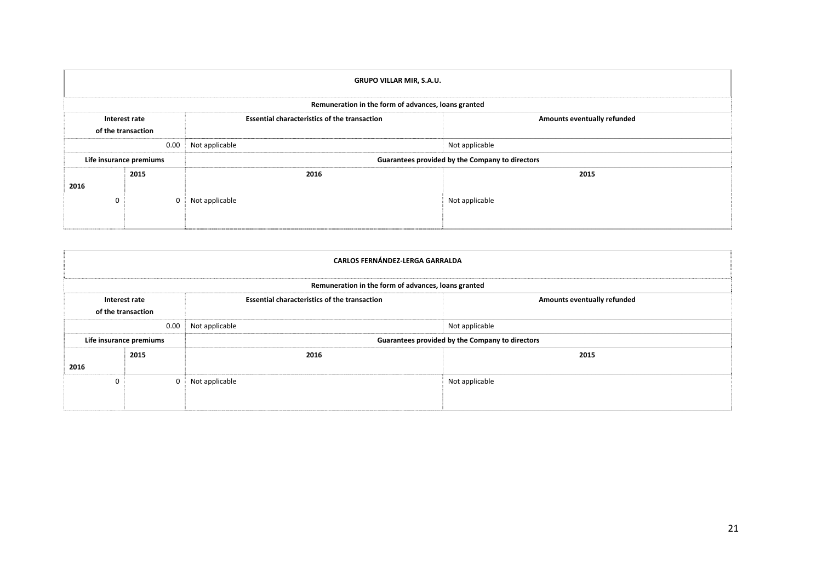|          | <b>GRUPO VILLAR MIR, S.A.U.</b>                     |                                                     |                                                 |  |  |  |  |  |  |
|----------|-----------------------------------------------------|-----------------------------------------------------|-------------------------------------------------|--|--|--|--|--|--|
|          | Remuneration in the form of advances, loans granted |                                                     |                                                 |  |  |  |  |  |  |
|          | Interest rate<br>of the transaction                 | <b>Essential characteristics of the transaction</b> | Amounts eventually refunded                     |  |  |  |  |  |  |
|          | 0.00                                                | Not applicable                                      | Not applicable                                  |  |  |  |  |  |  |
|          | Life insurance premiums                             |                                                     | Guarantees provided by the Company to directors |  |  |  |  |  |  |
| 2016     | 2015                                                | 2016                                                | 2015                                            |  |  |  |  |  |  |
| $\Omega$ |                                                     | Not applicable                                      | Not applicable                                  |  |  |  |  |  |  |

|      | <b>CARLOS FERNÁNDEZ-LERGA GARRALDA</b> |                                                     |                             |  |  |  |  |  |
|------|----------------------------------------|-----------------------------------------------------|-----------------------------|--|--|--|--|--|
|      |                                        | Remuneration in the form of advances, loans granted |                             |  |  |  |  |  |
|      | Interest rate<br>of the transaction    | <b>Essential characteristics of the transaction</b> | Amounts eventually refunded |  |  |  |  |  |
|      | 0.00                                   | Not applicable                                      | Not applicable              |  |  |  |  |  |
|      | Life insurance premiums                | Guarantees provided by the Company to directors     |                             |  |  |  |  |  |
| 2016 | 2015                                   | 2016                                                | 2015                        |  |  |  |  |  |
| 0    | $\Omega$                               | Not applicable                                      | Not applicable              |  |  |  |  |  |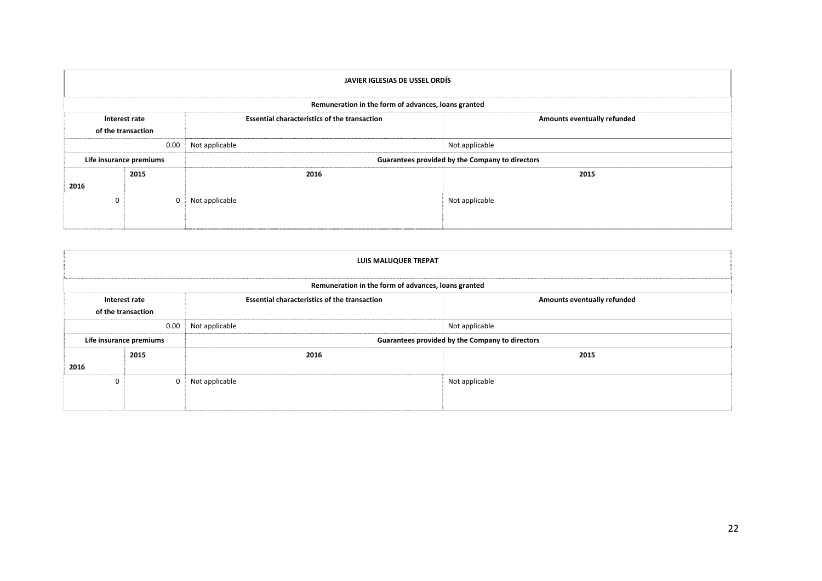|          | JAVIER IGLESIAS DE USSEL ORDÍS      |                                                     |                             |  |  |  |  |  |
|----------|-------------------------------------|-----------------------------------------------------|-----------------------------|--|--|--|--|--|
|          |                                     | Remuneration in the form of advances, loans granted |                             |  |  |  |  |  |
|          | Interest rate<br>of the transaction | <b>Essential characteristics of the transaction</b> | Amounts eventually refunded |  |  |  |  |  |
|          | 0.00                                | Not applicable                                      | Not applicable              |  |  |  |  |  |
|          | Life insurance premiums             | Guarantees provided by the Company to directors     |                             |  |  |  |  |  |
| 2016     | 2015                                | 2016                                                | 2015                        |  |  |  |  |  |
| $\Omega$ |                                     | Not applicable                                      | Not applicable              |  |  |  |  |  |

|      | <b>LUIS MALUQUER TREPAT</b>         |                                                                                    |                |  |  |  |  |  |
|------|-------------------------------------|------------------------------------------------------------------------------------|----------------|--|--|--|--|--|
|      |                                     | Remuneration in the form of advances, loans granted                                |                |  |  |  |  |  |
|      | Interest rate<br>of the transaction | <b>Essential characteristics of the transaction</b><br>Amounts eventually refunded |                |  |  |  |  |  |
|      | 0.00                                | Not applicable                                                                     | Not applicable |  |  |  |  |  |
|      | Life insurance premiums             | Guarantees provided by the Company to directors                                    |                |  |  |  |  |  |
|      | 2015                                | 2016                                                                               | 2015           |  |  |  |  |  |
| 2016 |                                     |                                                                                    |                |  |  |  |  |  |
| 0    | $\Omega$                            | Not applicable                                                                     | Not applicable |  |  |  |  |  |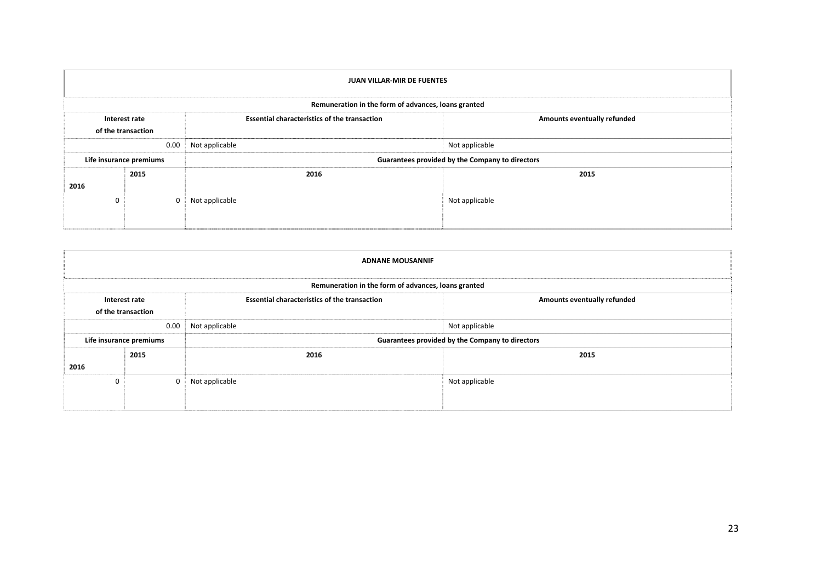|          | <b>JUAN VILLAR-MIR DE FUENTES</b>   |                                                     |                             |  |  |  |  |  |
|----------|-------------------------------------|-----------------------------------------------------|-----------------------------|--|--|--|--|--|
|          |                                     | Remuneration in the form of advances, loans granted |                             |  |  |  |  |  |
|          | Interest rate<br>of the transaction | <b>Essential characteristics of the transaction</b> | Amounts eventually refunded |  |  |  |  |  |
|          | 0.00                                | Not applicable                                      | Not applicable              |  |  |  |  |  |
|          | Life insurance premiums             | Guarantees provided by the Company to directors     |                             |  |  |  |  |  |
| 2016     | 2015                                | 2016                                                | 2015                        |  |  |  |  |  |
| $\Omega$ |                                     | Not applicable                                      | Not applicable              |  |  |  |  |  |

|          | <b>ADNANE MOUSANNIF</b>             |                                                     |                             |  |  |  |  |  |
|----------|-------------------------------------|-----------------------------------------------------|-----------------------------|--|--|--|--|--|
|          |                                     | Remuneration in the form of advances, loans granted |                             |  |  |  |  |  |
|          | Interest rate<br>of the transaction | <b>Essential characteristics of the transaction</b> | Amounts eventually refunded |  |  |  |  |  |
|          | 0.00                                | Not applicable                                      | Not applicable              |  |  |  |  |  |
|          | Life insurance premiums             | Guarantees provided by the Company to directors     |                             |  |  |  |  |  |
|          | 2015                                | 2016                                                | 2015                        |  |  |  |  |  |
| 2016     |                                     |                                                     |                             |  |  |  |  |  |
| $\Omega$ | $\Omega$                            | Not applicable                                      | Not applicable              |  |  |  |  |  |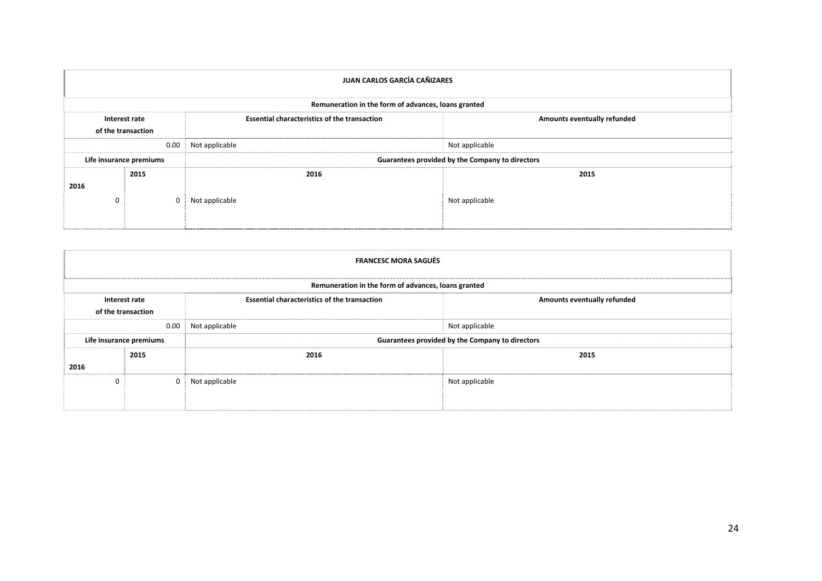|          | JUAN CARLOS GARCÍA CAÑIZARES        |                                                     |                                    |  |  |  |  |  |
|----------|-------------------------------------|-----------------------------------------------------|------------------------------------|--|--|--|--|--|
|          |                                     | Remuneration in the form of advances, loans granted |                                    |  |  |  |  |  |
|          | Interest rate<br>of the transaction | <b>Essential characteristics of the transaction</b> | <b>Amounts eventually refunded</b> |  |  |  |  |  |
|          | 0.00                                | Not applicable                                      | Not applicable                     |  |  |  |  |  |
|          | Life insurance premiums             | Guarantees provided by the Company to directors     |                                    |  |  |  |  |  |
| 2016     | 2015                                | 2016                                                | 2015                               |  |  |  |  |  |
| $\Omega$ |                                     | Not applicable                                      | Not applicable                     |  |  |  |  |  |

|          | <b>FRANCESC MORA SAGUÉS</b>         |                                                     |                             |  |  |  |  |  |
|----------|-------------------------------------|-----------------------------------------------------|-----------------------------|--|--|--|--|--|
|          |                                     | Remuneration in the form of advances, loans granted |                             |  |  |  |  |  |
|          | Interest rate<br>of the transaction | <b>Essential characteristics of the transaction</b> | Amounts eventually refunded |  |  |  |  |  |
|          | 0.00                                | Not applicable                                      | Not applicable              |  |  |  |  |  |
|          | Life insurance premiums             | Guarantees provided by the Company to directors     |                             |  |  |  |  |  |
|          | 2015                                | 2016                                                | 2015                        |  |  |  |  |  |
| 2016     |                                     |                                                     |                             |  |  |  |  |  |
| $\Omega$ | $\Omega$                            | Not applicable                                      | Not applicable              |  |  |  |  |  |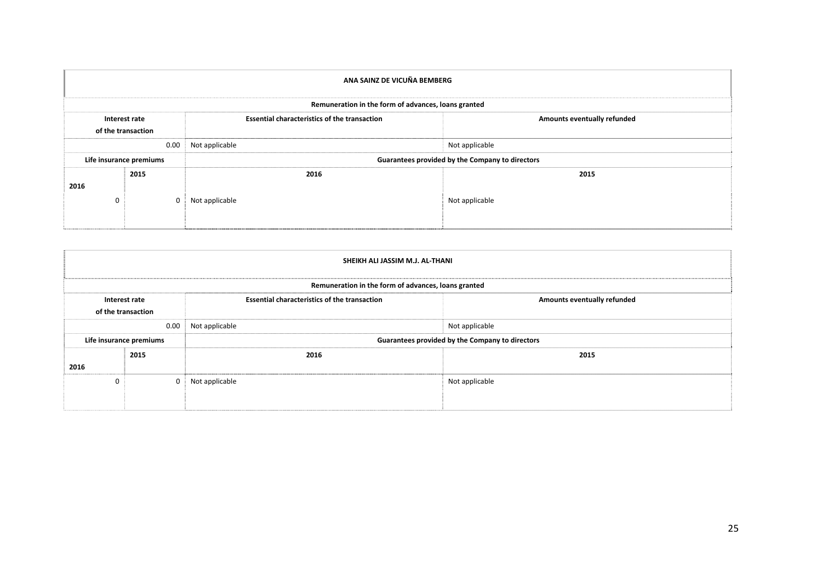| ANA SAINZ DE VICUÑA BEMBERG |                                     |                                                                                    |                |  |  |  |  |
|-----------------------------|-------------------------------------|------------------------------------------------------------------------------------|----------------|--|--|--|--|
|                             |                                     | Remuneration in the form of advances, loans granted                                |                |  |  |  |  |
|                             | Interest rate<br>of the transaction | <b>Essential characteristics of the transaction</b><br>Amounts eventually refunded |                |  |  |  |  |
|                             | 0.00                                | Not applicable                                                                     | Not applicable |  |  |  |  |
|                             | Life insurance premiums             | Guarantees provided by the Company to directors                                    |                |  |  |  |  |
| 2016                        | 2015                                | 2016                                                                               | 2015           |  |  |  |  |
| $\Omega$                    |                                     | Not applicable                                                                     | Not applicable |  |  |  |  |

|      | SHEIKH ALI JASSIM M.J. AL-THANI     |                                                     |                             |  |  |  |  |  |
|------|-------------------------------------|-----------------------------------------------------|-----------------------------|--|--|--|--|--|
|      |                                     | Remuneration in the form of advances, loans granted |                             |  |  |  |  |  |
|      | Interest rate<br>of the transaction | <b>Essential characteristics of the transaction</b> | Amounts eventually refunded |  |  |  |  |  |
|      | 0.00                                | Not applicable                                      | Not applicable              |  |  |  |  |  |
|      | Life insurance premiums             | Guarantees provided by the Company to directors     |                             |  |  |  |  |  |
| 2016 | 2015                                | 2016                                                | 2015                        |  |  |  |  |  |
| 0    | $\Omega$                            | Not applicable                                      | Not applicable              |  |  |  |  |  |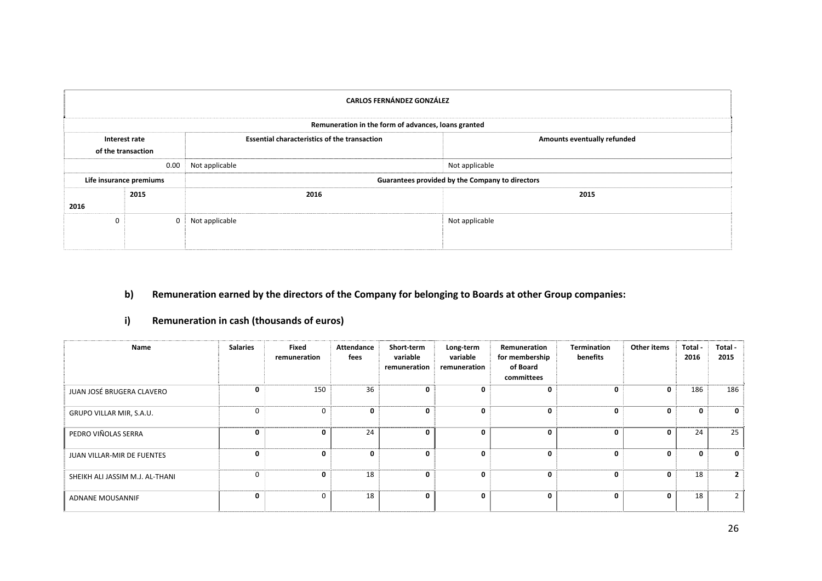| <b>CARLOS FERNÁNDEZ GONZÁLEZ</b> |                                     |                                                     |                             |  |  |  |  |
|----------------------------------|-------------------------------------|-----------------------------------------------------|-----------------------------|--|--|--|--|
|                                  |                                     | Remuneration in the form of advances, loans granted |                             |  |  |  |  |
|                                  | Interest rate<br>of the transaction | <b>Essential characteristics of the transaction</b> | Amounts eventually refunded |  |  |  |  |
|                                  | 0.00                                | Not applicable                                      | Not applicable              |  |  |  |  |
|                                  | Life insurance premiums             | Guarantees provided by the Company to directors     |                             |  |  |  |  |
|                                  | 2015                                | 2016                                                | 2015                        |  |  |  |  |
| 2016                             |                                     |                                                     |                             |  |  |  |  |
| $\mathbf{0}$                     | $\Omega$                            | Not applicable                                      | Not applicable              |  |  |  |  |

# **b) Remuneration earned by the directors of the Company for belonging to Boards at other Group companies:**

# **i) Remuneration in cash (thousands of euros)**

| Name                            | <b>Salaries</b> | Fixed<br>remuneration | Attendance<br>fees | Short-term<br>variable<br>remuneration | Long-term<br>variable<br>remuneration | Remuneration<br>for membership<br>of Board<br>committees | <b>Termination</b><br>benefits | Other items  | Total -<br>2016 | Total -<br>2015 |
|---------------------------------|-----------------|-----------------------|--------------------|----------------------------------------|---------------------------------------|----------------------------------------------------------|--------------------------------|--------------|-----------------|-----------------|
| JUAN JOSÉ BRUGERA CLAVERO       | 0               | 150                   | 36                 | 0                                      | 0                                     | 0                                                        | 0                              | 0            | 186             | 186             |
| GRUPO VILLAR MIR, S.A.U.        | $\Omega$        | $\mathbf 0$           | $\mathbf{0}$       | 0                                      | 0                                     | 0                                                        | $\mathbf{0}$                   | $\mathbf{0}$ | $\mathbf{0}$    | $\mathbf{0}$    |
| PEDRO VIÑOLAS SERRA             | 0               | 0                     | 24                 | 0                                      | 0                                     | 0                                                        | $\mathbf{0}$                   | $\mathbf{0}$ | 24              | 25              |
| JUAN VILLAR-MIR DE FUENTES      | 0               | 0                     | $\Omega$           | $\mathbf{0}$                           | 0                                     | $\mathbf{0}$                                             | $\mathbf{0}$                   | $\mathbf{0}$ | $\mathbf{0}$    | $\mathbf{0}$    |
| SHEIKH ALI JASSIM M.J. AL-THANI | $\Omega$        | 0                     | 18                 | $\mathbf{0}$                           | 0                                     | $\mathbf{0}$                                             | 0                              | 0            | 18              | $\overline{2}$  |
| ADNANE MOUSANNIF                | 0               | $\mathbf 0$           | 18                 | $\mathbf{0}$                           | 0                                     | $\mathbf{0}$                                             | 0                              | 0            | 18              | $\overline{2}$  |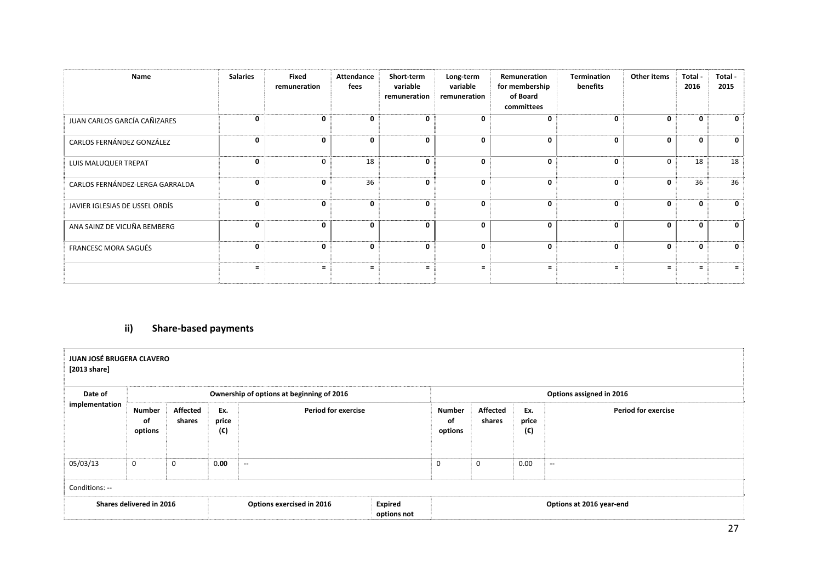| Name                            | <b>Salaries</b> | Fixed<br>remuneration | Attendance<br>fees | Short-term<br>variable<br>remuneration | Long-term<br>variable<br>remuneration | Remuneration<br>for membership<br>of Board<br>committees | Termination<br>benefits | Other items  | Total -<br>2016 | Total -<br>2015 |
|---------------------------------|-----------------|-----------------------|--------------------|----------------------------------------|---------------------------------------|----------------------------------------------------------|-------------------------|--------------|-----------------|-----------------|
| JUAN CARLOS GARCÍA CAÑIZARES    | $\mathbf{0}$    | $\mathbf{0}$          | $\mathbf{0}$       | $\Omega$                               | $\Omega$                              | 0                                                        | 0                       | $\Omega$     | 0               | $\Omega$        |
| CARLOS FERNÁNDEZ GONZÁLEZ       | $\mathbf{0}$    | 0                     | $\mathbf{0}$       | $\mathbf{0}$                           | $\mathbf{0}$                          | $\mathbf{0}$                                             | 0                       | 0            | 0               | $\mathbf{0}$    |
| LUIS MALUQUER TREPAT            | $\mathbf{0}$    | 0                     | 18                 | $\mathbf{0}$                           | $\mathbf{0}$                          | $\mathbf{0}$                                             | 0                       | $\mathbf 0$  | 18              | 18              |
| CARLOS FERNÁNDEZ-LERGA GARRALDA | $\mathbf{0}$    | 0                     | 36                 | $\mathbf{0}$                           | 0                                     | $\mathbf{0}$                                             | 0                       | 0            | 36              | 36              |
| JAVIER IGLESIAS DE USSEL ORDÍS  | $\mathbf{0}$    | 0                     | 0                  | $\mathbf{0}$                           | $\mathbf{0}$                          | $\mathbf{0}$                                             | 0                       | $\mathbf{0}$ | 0               | 0               |
| ANA SAINZ DE VICUÑA BEMBERG     | 0               | 0                     | 0                  | 0                                      | 0                                     | 0                                                        | 0                       | 0            | 0               | 0               |
| FRANCESC MORA SAGUÉS            | $\mathbf{0}$    | 0                     | $\mathbf{0}$       | $\mathbf{0}$                           | 0                                     | $\mathbf{0}$                                             | 0                       | $\Omega$     | 0               | $\Omega$        |
|                                 | $\equiv$        | $=$                   | $\equiv$           |                                        |                                       |                                                          |                         | Ξ            | $=$             |                 |

# **ii) Share‐based payments**

| JUAN JOSÉ BRUGERA CLAVERO<br>[2013 share] |                                                                                                           |   |                           |                                           |                           |                          |                            |      |        |
|-------------------------------------------|-----------------------------------------------------------------------------------------------------------|---|---------------------------|-------------------------------------------|---------------------------|--------------------------|----------------------------|------|--------|
| Date of                                   |                                                                                                           |   |                           | Ownership of options at beginning of 2016 |                           | Options assigned in 2016 |                            |      |        |
| implementation                            | <b>Affected</b><br><b>Period for exercise</b><br>Ex.<br>Number<br>price<br>οf<br>shares<br>(€)<br>options |   |                           | <b>Number</b><br>of<br>options            | <b>Affected</b><br>shares | Ex.<br>price<br>(€)      | <b>Period for exercise</b> |      |        |
| 05/03/13                                  | $\mathbf 0$                                                                                               | 0 | 0.00                      | $\sim$                                    |                           | $\mathbf 0$              | $\mathbf 0$                | 0.00 | $\sim$ |
| Conditions: --                            |                                                                                                           |   |                           |                                           |                           |                          |                            |      |        |
| Shares delivered in 2016                  |                                                                                                           |   | Options exercised in 2016 | <b>Expired</b><br>options not             | Options at 2016 year-end  |                          |                            |      |        |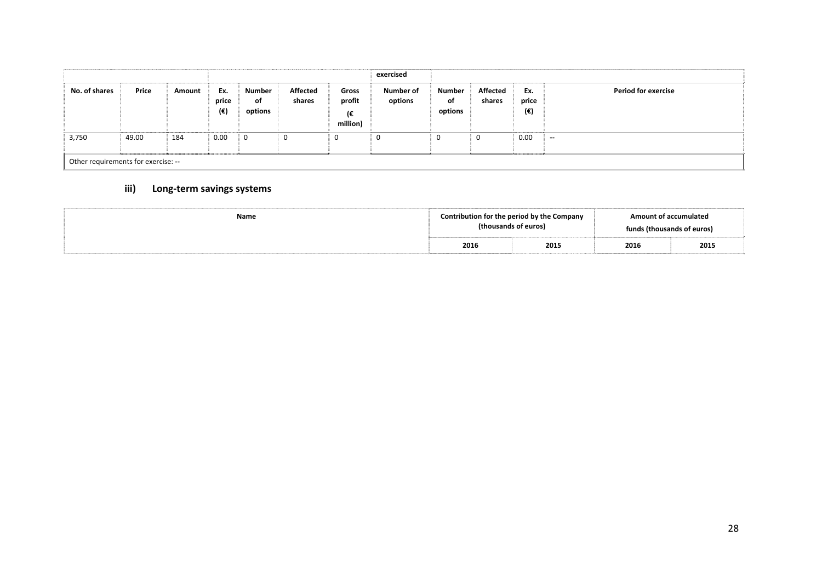|               |                                     |        |                     |                         |                    |                                   | exercised            |                         |                    |                     |                            |
|---------------|-------------------------------------|--------|---------------------|-------------------------|--------------------|-----------------------------------|----------------------|-------------------------|--------------------|---------------------|----------------------------|
| No. of shares | Price                               | Amount | Ex.<br>price<br>(€) | Number<br>of<br>options | Affected<br>shares | Gross<br>profit<br>(€<br>million) | Number of<br>options | Number<br>of<br>options | Affected<br>shares | Ex.<br>price<br>(€) | <b>Period for exercise</b> |
| 3,750         | 49.00                               | 184    | 0.00                | 0                       | 0                  | Ü                                 | U                    | U                       | 0                  | 0.00                | $\sim$                     |
|               | Other requirements for exercise: -- |        |                     |                         |                    |                                   |                      |                         |                    |                     |                            |

# **iii) Long‐term savings systems**

| Name |      | Contribution for the period by the Company<br>(thousands of euros) | <b>Amount of accumulated</b><br>funds (thousands of euros) |      |
|------|------|--------------------------------------------------------------------|------------------------------------------------------------|------|
|      | 2016 | 2015                                                               | 2016                                                       | 2015 |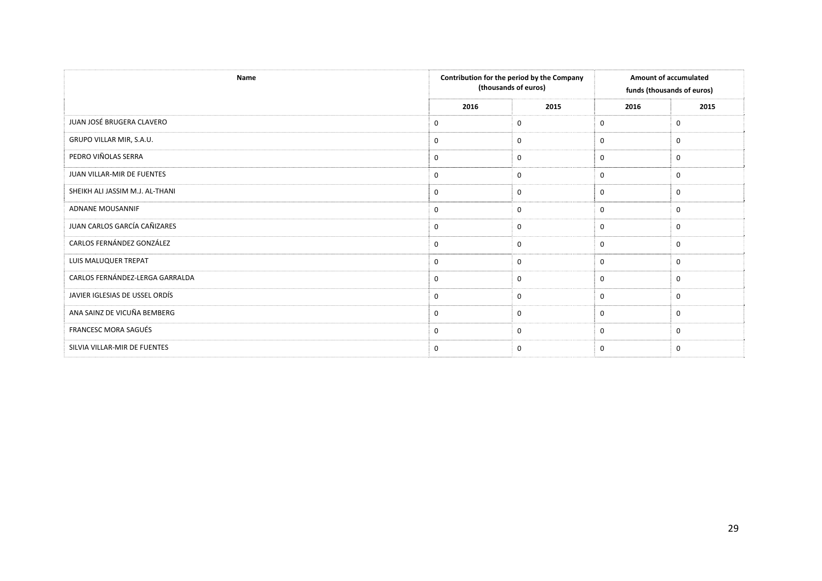| Name                            |             | Contribution for the period by the Company<br>(thousands of euros) | <b>Amount of accumulated</b><br>funds (thousands of euros) |             |
|---------------------------------|-------------|--------------------------------------------------------------------|------------------------------------------------------------|-------------|
|                                 | 2016        | 2015                                                               | 2016                                                       | 2015        |
| JUAN JOSÉ BRUGERA CLAVERO       | 0           | 0                                                                  | 0                                                          | $\mathbf 0$ |
| GRUPO VILLAR MIR, S.A.U.        | $\mathbf 0$ | 0                                                                  | $\mathbf{0}$                                               | $\mathbf 0$ |
| PEDRO VIÑOLAS SERRA             | 0           | 0                                                                  | $\mathbf{0}$                                               | $\mathbf 0$ |
| JUAN VILLAR-MIR DE FUENTES      | 0           | $\mathbf 0$                                                        | $\mathbf 0$                                                | $\mathbf 0$ |
| SHEIKH ALI JASSIM M.J. AL-THANI | 0           | $\mathbf 0$                                                        | $\mathbf 0$                                                | $\mathbf 0$ |
| ADNANE MOUSANNIF                | $\mathbf 0$ | 0                                                                  | $\mathbf 0$                                                | $\mathbf 0$ |
| JUAN CARLOS GARCÍA CAÑIZARES    | $\mathbf 0$ | 0                                                                  | $\mathbf{0}$                                               | $\mathbf 0$ |
| CARLOS FERNÁNDEZ GONZÁLEZ       | 0           | 0                                                                  | 0                                                          | $\mathbf 0$ |
| LUIS MALUQUER TREPAT            | $\mathbf 0$ | 0                                                                  | $\mathbf 0$                                                | $\mathbf 0$ |
| CARLOS FERNÁNDEZ-LERGA GARRALDA | $\mathbf 0$ | 0                                                                  | $\mathbf 0$                                                | $\mathbf 0$ |
| JAVIER IGLESIAS DE USSEL ORDÍS  | 0           | 0                                                                  | $\mathbf 0$                                                | $\mathbf 0$ |
| ANA SAINZ DE VICUÑA BEMBERG     | 0           | 0                                                                  | 0                                                          | $\mathbf 0$ |
| FRANCESC MORA SAGUÉS            | $\mathbf 0$ | $\mathbf 0$                                                        | $\mathbf 0$                                                | $\Omega$    |
| SILVIA VILLAR-MIR DE FUENTES    | $\mathbf 0$ | $\mathbf 0$                                                        | $\mathbf 0$                                                | $\mathbf 0$ |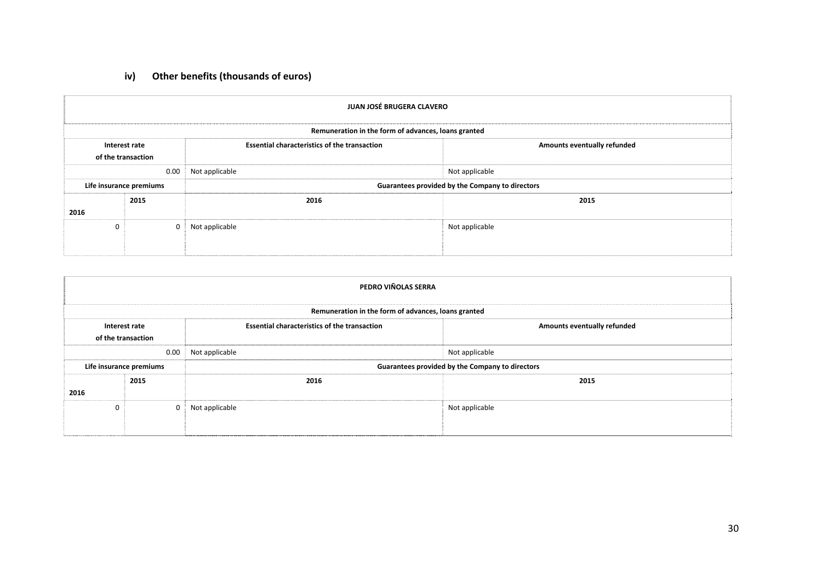# **iv) Other benefits (thousands of euros)**

|              | JUAN JOSÉ BRUGERA CLAVERO                                                                                                 |                                                     |                |  |  |
|--------------|---------------------------------------------------------------------------------------------------------------------------|-----------------------------------------------------|----------------|--|--|
|              |                                                                                                                           | Remuneration in the form of advances, loans granted |                |  |  |
|              | <b>Essential characteristics of the transaction</b><br>Amounts eventually refunded<br>Interest rate<br>of the transaction |                                                     |                |  |  |
|              | 0.00                                                                                                                      | Not applicable                                      | Not applicable |  |  |
|              | Life insurance premiums                                                                                                   | Guarantees provided by the Company to directors     |                |  |  |
|              | 2015                                                                                                                      | 2016                                                | 2015           |  |  |
| 2016         |                                                                                                                           |                                                     |                |  |  |
| $\mathbf{0}$ | 0                                                                                                                         | Not applicable                                      | Not applicable |  |  |

|                                                                                                                           | PEDRO VIÑOLAS SERRA     |                                                     |                |  |  |  |
|---------------------------------------------------------------------------------------------------------------------------|-------------------------|-----------------------------------------------------|----------------|--|--|--|
|                                                                                                                           |                         | Remuneration in the form of advances, loans granted |                |  |  |  |
| <b>Essential characteristics of the transaction</b><br>Amounts eventually refunded<br>Interest rate<br>of the transaction |                         |                                                     |                |  |  |  |
|                                                                                                                           | 0.00                    | Not applicable                                      | Not applicable |  |  |  |
|                                                                                                                           | Life insurance premiums | Guarantees provided by the Company to directors     |                |  |  |  |
|                                                                                                                           | 2015                    | 2016                                                | 2015           |  |  |  |
| 2016                                                                                                                      |                         |                                                     |                |  |  |  |
| $\mathbf 0$                                                                                                               | 0                       | Not applicable                                      | Not applicable |  |  |  |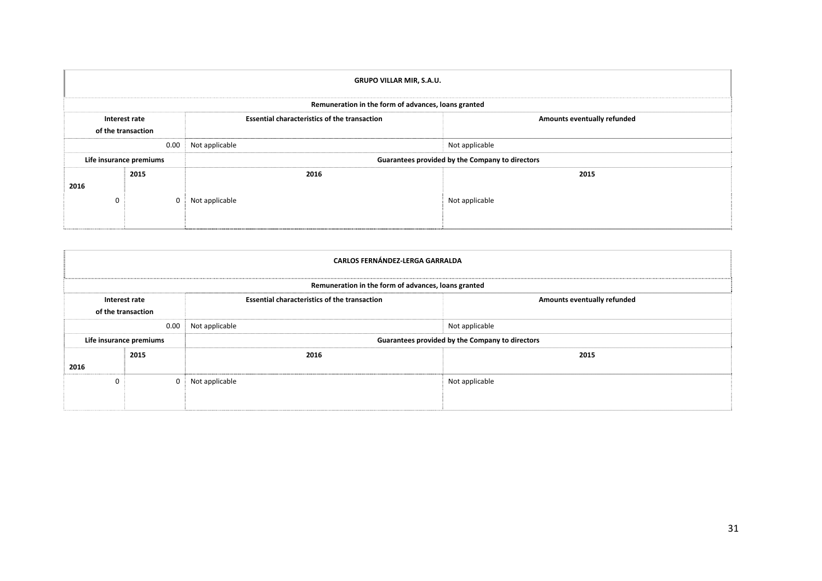|          | <b>GRUPO VILLAR MIR, S.A.U.</b>     |                                                     |                                    |  |  |  |
|----------|-------------------------------------|-----------------------------------------------------|------------------------------------|--|--|--|
|          |                                     | Remuneration in the form of advances, loans granted |                                    |  |  |  |
|          | Interest rate<br>of the transaction | <b>Essential characteristics of the transaction</b> | <b>Amounts eventually refunded</b> |  |  |  |
|          | 0.00                                | Not applicable                                      | Not applicable                     |  |  |  |
|          | Life insurance premiums             | Guarantees provided by the Company to directors     |                                    |  |  |  |
| 2016     | 2015                                | 2016                                                | 2015                               |  |  |  |
| $\Omega$ |                                     | Not applicable                                      | Not applicable                     |  |  |  |

|                                                                                                                           | <b>CARLOS FERNÁNDEZ-LERGA GARRALDA</b> |                                                     |                |  |  |  |
|---------------------------------------------------------------------------------------------------------------------------|----------------------------------------|-----------------------------------------------------|----------------|--|--|--|
|                                                                                                                           |                                        | Remuneration in the form of advances, loans granted |                |  |  |  |
| <b>Essential characteristics of the transaction</b><br>Amounts eventually refunded<br>Interest rate<br>of the transaction |                                        |                                                     |                |  |  |  |
|                                                                                                                           | 0.00                                   | Not applicable                                      | Not applicable |  |  |  |
|                                                                                                                           | Life insurance premiums                | Guarantees provided by the Company to directors     |                |  |  |  |
| 2016                                                                                                                      | 2015                                   | 2016                                                | 2015           |  |  |  |
| 0                                                                                                                         | $\Omega$                               | Not applicable                                      | Not applicable |  |  |  |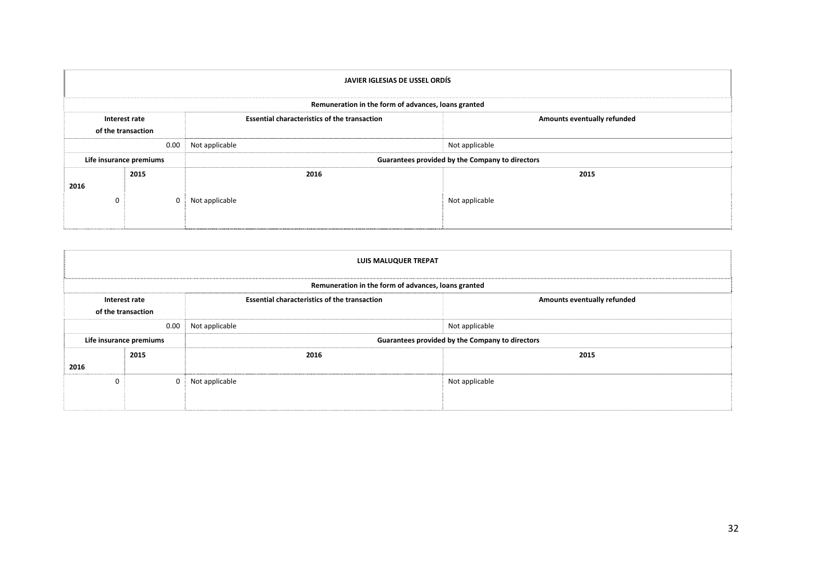|                                                                                            | JAVIER IGLESIAS DE USSEL ORDÍS |                                                     |                                    |  |  |  |
|--------------------------------------------------------------------------------------------|--------------------------------|-----------------------------------------------------|------------------------------------|--|--|--|
|                                                                                            |                                | Remuneration in the form of advances, loans granted |                                    |  |  |  |
| <b>Essential characteristics of the transaction</b><br>Interest rate<br>of the transaction |                                |                                                     | <b>Amounts eventually refunded</b> |  |  |  |
|                                                                                            | 0.00                           | Not applicable                                      | Not applicable                     |  |  |  |
|                                                                                            | Life insurance premiums        | Guarantees provided by the Company to directors     |                                    |  |  |  |
| 2016                                                                                       | 2015                           | 2016                                                | 2015                               |  |  |  |
| $\Omega$                                                                                   |                                | Not applicable                                      | Not applicable                     |  |  |  |

|                                                                                                                           | <b>LUIS MALUQUER TREPAT</b> |                                                     |                |  |  |  |
|---------------------------------------------------------------------------------------------------------------------------|-----------------------------|-----------------------------------------------------|----------------|--|--|--|
|                                                                                                                           |                             | Remuneration in the form of advances, loans granted |                |  |  |  |
| <b>Essential characteristics of the transaction</b><br>Amounts eventually refunded<br>Interest rate<br>of the transaction |                             |                                                     |                |  |  |  |
|                                                                                                                           | 0.00                        | Not applicable                                      | Not applicable |  |  |  |
|                                                                                                                           | Life insurance premiums     | Guarantees provided by the Company to directors     |                |  |  |  |
|                                                                                                                           | 2015                        | 2016                                                | 2015           |  |  |  |
| 2016                                                                                                                      |                             |                                                     |                |  |  |  |
| 0                                                                                                                         | $\Omega$                    | Not applicable                                      | Not applicable |  |  |  |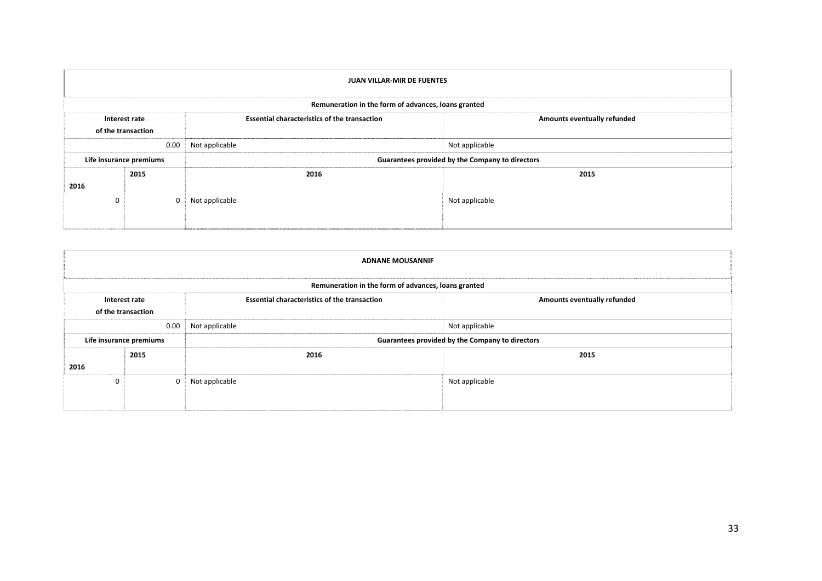|          | <b>JUAN VILLAR-MIR DE FUENTES</b>   |                                                     |                |  |  |  |
|----------|-------------------------------------|-----------------------------------------------------|----------------|--|--|--|
|          |                                     | Remuneration in the form of advances, loans granted |                |  |  |  |
|          | Interest rate<br>of the transaction | Amounts eventually refunded                         |                |  |  |  |
|          | 0.00                                | Not applicable                                      | Not applicable |  |  |  |
|          | Life insurance premiums             | Guarantees provided by the Company to directors     |                |  |  |  |
| 2016     | 2015                                | 2016                                                | 2015           |  |  |  |
| $\Omega$ |                                     | Not applicable                                      | Not applicable |  |  |  |

|                                                                                                                           | <b>ADNANE MOUSANNIF</b> |                                                     |                |  |  |  |
|---------------------------------------------------------------------------------------------------------------------------|-------------------------|-----------------------------------------------------|----------------|--|--|--|
|                                                                                                                           |                         | Remuneration in the form of advances, loans granted |                |  |  |  |
| <b>Essential characteristics of the transaction</b><br>Amounts eventually refunded<br>Interest rate<br>of the transaction |                         |                                                     |                |  |  |  |
|                                                                                                                           | 0.00                    | Not applicable                                      | Not applicable |  |  |  |
|                                                                                                                           | Life insurance premiums | Guarantees provided by the Company to directors     |                |  |  |  |
| 2016                                                                                                                      | 2015                    | 2016                                                | 2015           |  |  |  |
| 0                                                                                                                         | $\Omega$                | Not applicable                                      | Not applicable |  |  |  |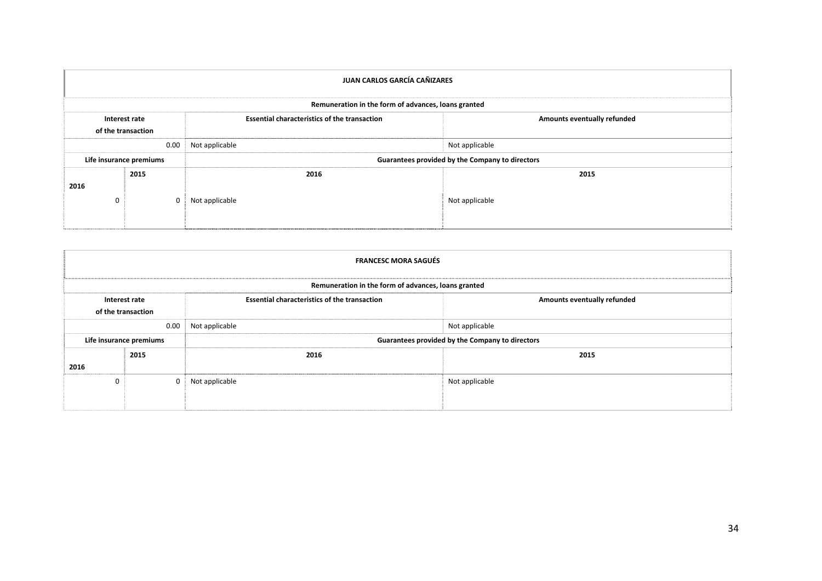|          | JUAN CARLOS GARCÍA CAÑIZARES        |                                                     |                                    |  |  |  |
|----------|-------------------------------------|-----------------------------------------------------|------------------------------------|--|--|--|
|          |                                     | Remuneration in the form of advances, loans granted |                                    |  |  |  |
|          | Interest rate<br>of the transaction | <b>Essential characteristics of the transaction</b> | <b>Amounts eventually refunded</b> |  |  |  |
|          | 0.00                                | Not applicable                                      | Not applicable                     |  |  |  |
|          | Life insurance premiums             | Guarantees provided by the Company to directors     |                                    |  |  |  |
| 2016     | 2015                                | 2016                                                | 2015                               |  |  |  |
| $\Omega$ |                                     | Not applicable                                      | Not applicable                     |  |  |  |

| <b>FRANCESC MORA SAGUÉS</b> |                                                     |                                                     |                             |  |  |  |  |  |
|-----------------------------|-----------------------------------------------------|-----------------------------------------------------|-----------------------------|--|--|--|--|--|
|                             | Remuneration in the form of advances, loans granted |                                                     |                             |  |  |  |  |  |
|                             | Interest rate<br>of the transaction                 | <b>Essential characteristics of the transaction</b> | Amounts eventually refunded |  |  |  |  |  |
|                             | 0.00                                                | Not applicable                                      | Not applicable              |  |  |  |  |  |
| Life insurance premiums     |                                                     | Guarantees provided by the Company to directors     |                             |  |  |  |  |  |
|                             | 2015<br>2016                                        |                                                     | 2015                        |  |  |  |  |  |
| 2016                        |                                                     |                                                     |                             |  |  |  |  |  |
| $\Omega$                    | $\Omega$                                            | Not applicable                                      | Not applicable              |  |  |  |  |  |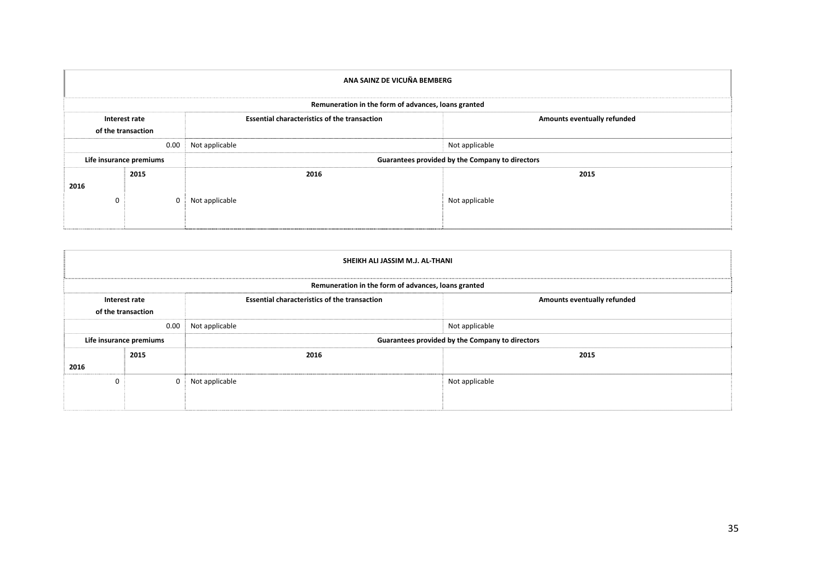| ANA SAINZ DE VICUÑA BEMBERG |                                                     |                                                     |                             |  |  |  |  |  |
|-----------------------------|-----------------------------------------------------|-----------------------------------------------------|-----------------------------|--|--|--|--|--|
|                             | Remuneration in the form of advances, loans granted |                                                     |                             |  |  |  |  |  |
|                             | Interest rate<br>of the transaction                 | <b>Essential characteristics of the transaction</b> | Amounts eventually refunded |  |  |  |  |  |
|                             | 0.00                                                | Not applicable                                      | Not applicable              |  |  |  |  |  |
| Life insurance premiums     |                                                     | Guarantees provided by the Company to directors     |                             |  |  |  |  |  |
| 2016                        | 2015                                                | 2016                                                | 2015                        |  |  |  |  |  |
| $\Omega$                    |                                                     | Not applicable                                      | Not applicable              |  |  |  |  |  |

| SHEIKH ALI JASSIM M.J. AL-THANI |                                                     |                                                     |                             |  |  |  |  |  |
|---------------------------------|-----------------------------------------------------|-----------------------------------------------------|-----------------------------|--|--|--|--|--|
|                                 | Remuneration in the form of advances, loans granted |                                                     |                             |  |  |  |  |  |
|                                 | Interest rate<br>of the transaction                 | <b>Essential characteristics of the transaction</b> | Amounts eventually refunded |  |  |  |  |  |
|                                 | 0.00                                                | Not applicable<br>Not applicable                    |                             |  |  |  |  |  |
|                                 | Life insurance premiums                             | Guarantees provided by the Company to directors     |                             |  |  |  |  |  |
| 2016                            | 2015                                                | 2016                                                | 2015                        |  |  |  |  |  |
| 0                               | $\Omega$                                            | Not applicable                                      | Not applicable              |  |  |  |  |  |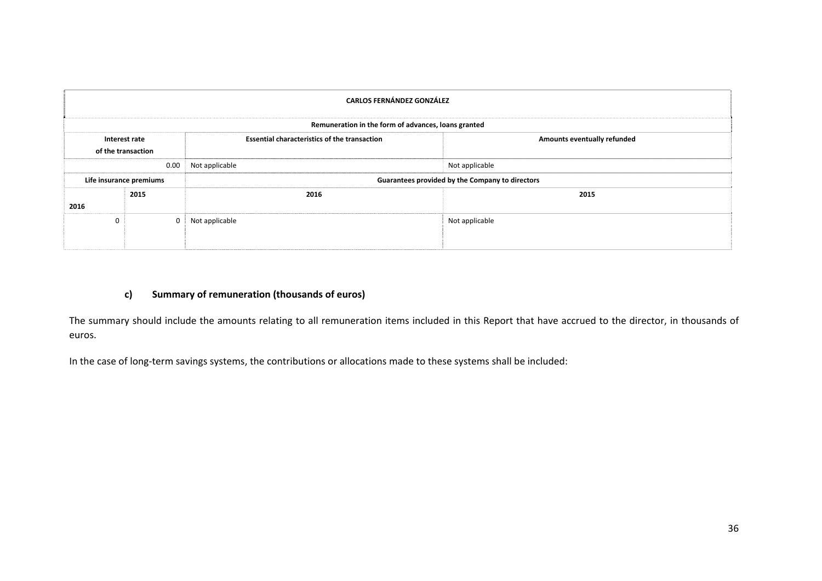| <b>CARLOS FERNÁNDEZ GONZÁLEZ</b>                                                                                          |      |                                                 |                |  |  |  |  |  |
|---------------------------------------------------------------------------------------------------------------------------|------|-------------------------------------------------|----------------|--|--|--|--|--|
| Remuneration in the form of advances, loans granted                                                                       |      |                                                 |                |  |  |  |  |  |
| <b>Essential characteristics of the transaction</b><br>Amounts eventually refunded<br>Interest rate<br>of the transaction |      |                                                 |                |  |  |  |  |  |
|                                                                                                                           | 0.00 | Not applicable                                  | Not applicable |  |  |  |  |  |
| Life insurance premiums                                                                                                   |      | Guarantees provided by the Company to directors |                |  |  |  |  |  |
|                                                                                                                           | 2015 | 2016                                            | 2015           |  |  |  |  |  |
| 2016                                                                                                                      |      |                                                 |                |  |  |  |  |  |
| 0                                                                                                                         |      | Not applicable                                  | Not applicable |  |  |  |  |  |

# **c) Summary of remuneration (thousands of euros)**

The summary should include the amounts relating to all remuneration items included in this Report that have accrued to the director, in thousands of euros.

In the case of long‐term savings systems, the contributions or allocations made to these systems shall be included: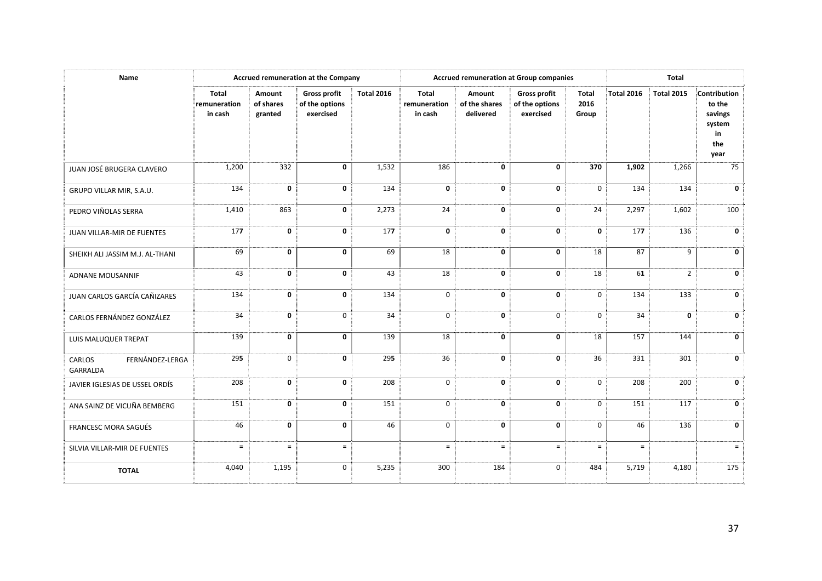| Name                                         | Accrued remuneration at the Company     |                                |                                                    |                   | <b>Accrued remuneration at Group companies</b> |                                      |                                                    | <b>Total</b>                  |                   |                   |                                                                  |
|----------------------------------------------|-----------------------------------------|--------------------------------|----------------------------------------------------|-------------------|------------------------------------------------|--------------------------------------|----------------------------------------------------|-------------------------------|-------------------|-------------------|------------------------------------------------------------------|
|                                              | <b>Total</b><br>remuneration<br>in cash | Amount<br>of shares<br>granted | <b>Gross profit</b><br>of the options<br>exercised | <b>Total 2016</b> | <b>Total</b><br>remuneration<br>in cash        | Amount<br>of the shares<br>delivered | <b>Gross profit</b><br>of the options<br>exercised | <b>Total</b><br>2016<br>Group | <b>Total 2016</b> | <b>Total 2015</b> | Contribution<br>to the<br>savings<br>system<br>in<br>the<br>year |
| JUAN JOSÉ BRUGERA CLAVERO                    | 1,200                                   | 332                            | $\mathbf 0$                                        | 1,532             | 186                                            | $\mathbf 0$                          | 0                                                  | 370                           | 1,902             | 1,266             | 75                                                               |
| GRUPO VILLAR MIR, S.A.U.                     | 134                                     | 0                              | $\mathbf 0$                                        | 134               | 0                                              | 0                                    | 0                                                  | $\mathbf 0$                   | 134               | 134               | 0                                                                |
| PEDRO VIÑOLAS SERRA                          | 1,410                                   | 863                            | $\mathbf 0$                                        | 2,273             | 24                                             | $\mathbf 0$                          | 0                                                  | 24                            | 2,297             | 1,602             | 100                                                              |
| JUAN VILLAR-MIR DE FUENTES                   | 177                                     | 0                              | $\mathbf 0$                                        | 177               | 0                                              | 0                                    | 0                                                  | 0                             | 177               | 136               | 0                                                                |
| SHEIKH ALI JASSIM M.J. AL-THANI              | 69                                      | 0                              | $\mathbf 0$                                        | 69                | 18                                             | $\mathbf 0$                          | 0                                                  | 18                            | 87                | 9                 | $\mathbf{0}$                                                     |
| ADNANE MOUSANNIF                             | 43                                      | 0                              | $\mathbf 0$                                        | 43                | 18                                             | 0                                    | 0                                                  | 18                            | 61                | $\overline{2}$    | 0                                                                |
| JUAN CARLOS GARCÍA CAÑIZARES                 | 134                                     | 0                              | $\mathbf 0$                                        | 134               | $\mathbf 0$                                    | 0                                    | 0                                                  | $\Omega$                      | 134               | 133               | 0                                                                |
| CARLOS FERNÁNDEZ GONZÁLEZ                    | 34                                      | 0                              | $\mathbf 0$                                        | 34                | $\mathbf 0$                                    | $\mathbf 0$                          | $\mathbf 0$                                        | $\mathbf 0$                   | 34                | $\mathbf 0$       | $\mathbf{0}$                                                     |
| LUIS MALUQUER TREPAT                         | 139                                     | 0                              | $\mathbf 0$                                        | 139               | 18                                             | 0                                    | 0                                                  | 18                            | 157               | 144               | 0                                                                |
| FERNÁNDEZ-LERGA<br>CARLOS<br><b>GARRALDA</b> | 295                                     | $\mathbf 0$                    | $\mathbf 0$                                        | 295               | 36                                             | 0                                    | 0                                                  | 36                            | 331               | 301               | $\mathbf 0$                                                      |
| JAVIER IGLESIAS DE USSEL ORDÍS               | 208                                     | 0                              | $\mathbf{0}$                                       | 208               | $\mathbf 0$                                    | $\mathbf 0$                          | 0                                                  | $\mathbf 0$                   | 208               | 200               | $\mathbf{0}$                                                     |
| ANA SAINZ DE VICUÑA BEMBERG                  | 151                                     | 0                              | $\mathbf 0$                                        | 151               | $\mathbf 0$                                    | 0                                    | 0                                                  | $\mathbf 0$                   | 151               | 117               | 0                                                                |
| <b>FRANCESC MORA SAGUÉS</b>                  | 46                                      | $\mathbf{0}$                   | $\mathbf{0}$                                       | 46                | $\mathbf 0$                                    | $\mathbf 0$                          | $\mathbf 0$                                        | $\Omega$                      | 46                | 136               | 0                                                                |
| SILVIA VILLAR-MIR DE FUENTES                 | $\equiv$                                | $\equiv$                       | $\equiv$                                           |                   | $\equiv$                                       | $\equiv$                             | $\equiv$                                           | $\equiv$                      | $\equiv$          |                   | $\equiv$                                                         |
| <b>TOTAL</b>                                 | 4,040                                   | 1,195                          | $\mathbf 0$                                        | 5,235             | 300                                            | 184                                  | 0                                                  | 484                           | 5,719             | 4,180             | 175                                                              |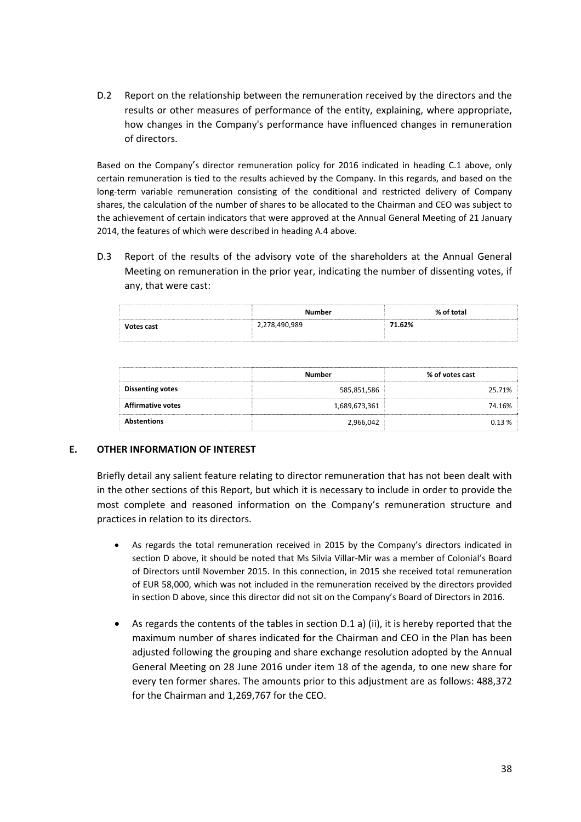D.2 Report on the relationship between the remuneration received by the directors and the results or other measures of performance of the entity, explaining, where appropriate, how changes in the Company's performance have influenced changes in remuneration of directors.

Based on the Company's director remuneration policy for 2016 indicated in heading C.1 above, only certain remuneration is tied to the results achieved by the Company. In this regards, and based on the long‐term variable remuneration consisting of the conditional and restricted delivery of Company shares, the calculation of the number of shares to be allocated to the Chairman and CEO was subject to the achievement of certain indicators that were approved at the Annual General Meeting of 21 January 2014, the features of which were described in heading A.4 above.

D.3 Report of the results of the advisory vote of the shareholders at the Annual General Meeting on remuneration in the prior year, indicating the number of dissenting votes, if any, that were cast:

|            | Number        | % of total |
|------------|---------------|------------|
| Votes cast | 2,278,490,989 | 71.62%     |
|            |               |            |

|                          | Number        | % of votes cast |
|--------------------------|---------------|-----------------|
| <b>Dissenting votes</b>  | 585,851,586   | 25.71%          |
| <b>Affirmative votes</b> | 1,689,673,361 | 74.16%          |
| <b>Abstentions</b>       | 2,966,042     | በ 12 %          |

# **E. OTHER INFORMATION OF INTEREST**

Briefly detail any salient feature relating to director remuneration that has not been dealt with in the other sections of this Report, but which it is necessary to include in order to provide the most complete and reasoned information on the Company's remuneration structure and practices in relation to its directors.

- As regards the total remuneration received in 2015 by the Company's directors indicated in section D above, it should be noted that Ms Silvia Villar‐Mir was a member of Colonial's Board of Directors until November 2015. In this connection, in 2015 she received total remuneration of EUR 58,000, which was not included in the remuneration received by the directors provided in section D above, since this director did not sit on the Company's Board of Directors in 2016.
- As regards the contents of the tables in section D.1 a) (ii), it is hereby reported that the maximum number of shares indicated for the Chairman and CEO in the Plan has been adjusted following the grouping and share exchange resolution adopted by the Annual General Meeting on 28 June 2016 under item 18 of the agenda, to one new share for every ten former shares. The amounts prior to this adjustment are as follows: 488,372 for the Chairman and 1,269,767 for the CEO.